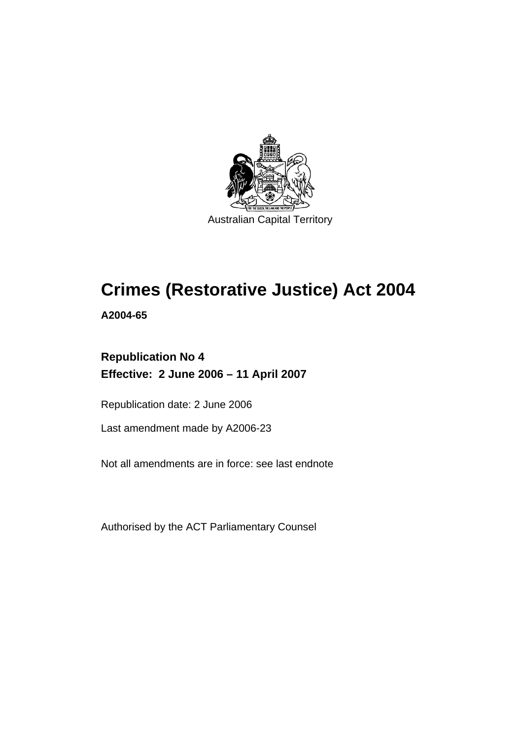

Australian Capital Territory

# **Crimes (Restorative Justice) Act 2004**

**A2004-65** 

# **Republication No 4 Effective: 2 June 2006 – 11 April 2007**

Republication date: 2 June 2006

Last amendment made by A2006-23

Not all amendments are in force: see last endnote

Authorised by the ACT Parliamentary Counsel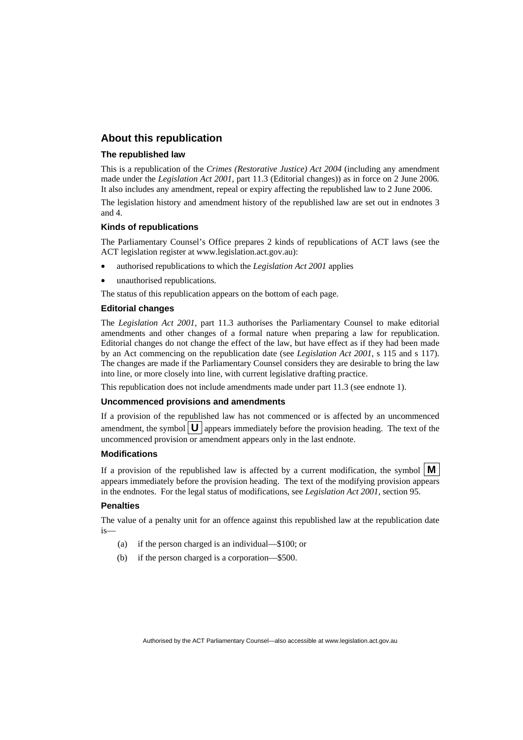## **About this republication**

#### **The republished law**

This is a republication of the *Crimes (Restorative Justice) Act 2004* (including any amendment made under the *Legislation Act 2001*, part 11.3 (Editorial changes)) as in force on 2 June 2006*.*  It also includes any amendment, repeal or expiry affecting the republished law to 2 June 2006.

The legislation history and amendment history of the republished law are set out in endnotes 3 and 4.

#### **Kinds of republications**

The Parliamentary Counsel's Office prepares 2 kinds of republications of ACT laws (see the ACT legislation register at www.legislation.act.gov.au):

- authorised republications to which the *Legislation Act 2001* applies
- unauthorised republications.

The status of this republication appears on the bottom of each page.

#### **Editorial changes**

The *Legislation Act 2001*, part 11.3 authorises the Parliamentary Counsel to make editorial amendments and other changes of a formal nature when preparing a law for republication. Editorial changes do not change the effect of the law, but have effect as if they had been made by an Act commencing on the republication date (see *Legislation Act 2001*, s 115 and s 117). The changes are made if the Parliamentary Counsel considers they are desirable to bring the law into line, or more closely into line, with current legislative drafting practice.

This republication does not include amendments made under part 11.3 (see endnote 1).

#### **Uncommenced provisions and amendments**

If a provision of the republished law has not commenced or is affected by an uncommenced amendment, the symbol  $\mathbf{U}$  appears immediately before the provision heading. The text of the uncommenced provision or amendment appears only in the last endnote.

#### **Modifications**

If a provision of the republished law is affected by a current modification, the symbol  $\mathbf{M}$ appears immediately before the provision heading. The text of the modifying provision appears in the endnotes. For the legal status of modifications, see *Legislation Act 2001*, section 95.

#### **Penalties**

The value of a penalty unit for an offence against this republished law at the republication date is—

- (a) if the person charged is an individual—\$100; or
- (b) if the person charged is a corporation—\$500.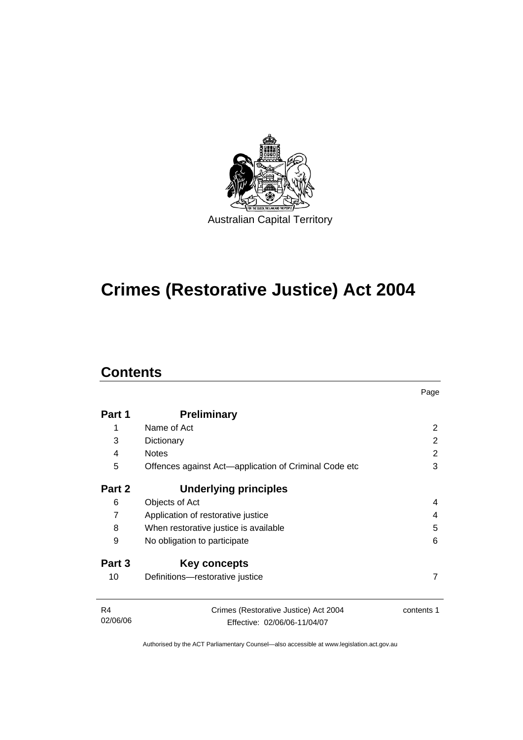

# **Crimes (Restorative Justice) Act 2004**

# **Contents**

|                            |                                                                       | Page       |  |
|----------------------------|-----------------------------------------------------------------------|------------|--|
| Part 1                     | <b>Preliminary</b>                                                    |            |  |
| 1                          | Name of Act                                                           | 2          |  |
| 3                          | Dictionary                                                            | 2          |  |
| 4                          | <b>Notes</b>                                                          | 2          |  |
| 5                          | Offences against Act-application of Criminal Code etc                 |            |  |
| Part 2                     | Underlying principles                                                 |            |  |
| 6                          | Objects of Act                                                        | 4          |  |
| $\overline{7}$             | Application of restorative justice                                    | 4          |  |
| 8                          | When restorative justice is available<br>5                            |            |  |
| 9                          | No obligation to participate<br>6                                     |            |  |
| Part 3                     | Key concepts                                                          |            |  |
| 10                         | Definitions-restorative justice                                       | 7          |  |
| R <sub>4</sub><br>02/06/06 | Crimes (Restorative Justice) Act 2004<br>Effective: 02/06/06-11/04/07 | contents 1 |  |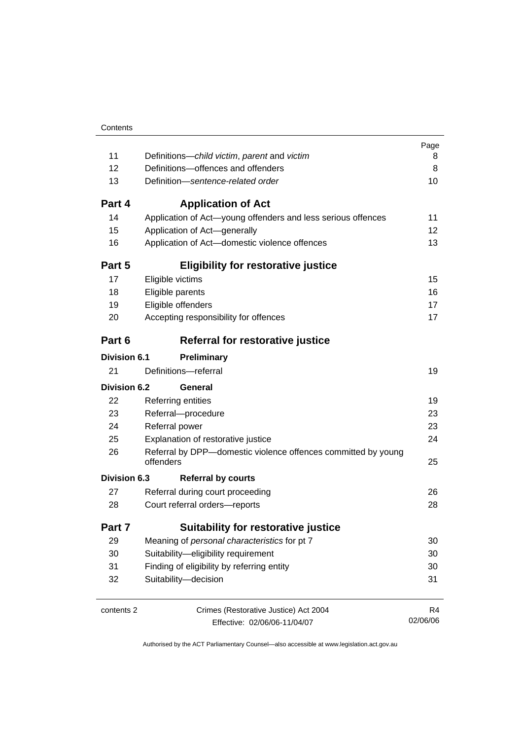| Contents |
|----------|
|          |

|                     |                                                                            | Page     |  |
|---------------------|----------------------------------------------------------------------------|----------|--|
| 11                  | Definitions-child victim, parent and victim                                | 8        |  |
| 12                  | Definitions-offences and offenders                                         | 8        |  |
| 13                  | Definition-sentence-related order                                          | 10       |  |
| Part 4              | <b>Application of Act</b>                                                  |          |  |
| 14                  | Application of Act-young offenders and less serious offences               | 11       |  |
| 15                  | Application of Act-generally                                               | 12       |  |
| 16                  | Application of Act-domestic violence offences                              | 13       |  |
| Part 5              | <b>Eligibility for restorative justice</b>                                 |          |  |
| 17                  | Eligible victims                                                           | 15       |  |
| 18                  | Eligible parents                                                           | 16       |  |
| 19                  | Eligible offenders                                                         | 17       |  |
| 20                  | Accepting responsibility for offences                                      | 17       |  |
| Part 6              | Referral for restorative justice                                           |          |  |
| <b>Division 6.1</b> | Preliminary                                                                |          |  |
| 21                  | Definitions-referral                                                       | 19       |  |
| <b>Division 6.2</b> | General                                                                    |          |  |
| 22                  | Referring entities                                                         | 19       |  |
| 23                  | Referral-procedure                                                         | 23       |  |
| 24                  | Referral power                                                             | 23       |  |
| 25                  | Explanation of restorative justice                                         | 24       |  |
| 26                  | Referral by DPP-domestic violence offences committed by young<br>offenders | 25       |  |
| <b>Division 6.3</b> | <b>Referral by courts</b>                                                  |          |  |
| 27                  | Referral during court proceeding                                           | 26       |  |
| 28                  | Court referral orders-reports                                              |          |  |
| Part 7              | <b>Suitability for restorative justice</b>                                 |          |  |
| 29                  | Meaning of personal characteristics for pt 7                               | 30       |  |
| 30                  | Suitability-eligibility requirement                                        |          |  |
| 31                  | Finding of eligibility by referring entity                                 |          |  |
| 32                  | Suitability-decision                                                       |          |  |
| contents 2          | Crimes (Restorative Justice) Act 2004                                      | R4       |  |
|                     | Effective: 02/06/06-11/04/07                                               | 02/06/06 |  |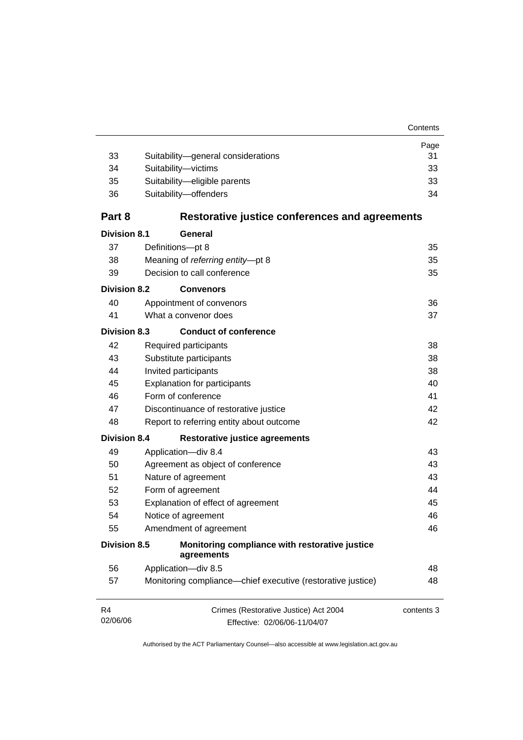|                            |                                                                       | Page       |
|----------------------------|-----------------------------------------------------------------------|------------|
| 33                         | Suitability-general considerations                                    | 31         |
| 34                         | Suitability-victims                                                   | 33         |
| 35                         | Suitability-eligible parents                                          | 33         |
| 36                         | Suitability-offenders                                                 | 34         |
| Part 8                     | Restorative justice conferences and agreements                        |            |
| <b>Division 8.1</b>        | General                                                               |            |
| 37                         | Definitions-pt 8                                                      | 35         |
| 38                         | Meaning of referring entity-pt 8                                      | 35         |
| 39                         | Decision to call conference                                           | 35         |
| <b>Division 8.2</b>        | <b>Convenors</b>                                                      |            |
| 40                         | Appointment of convenors                                              | 36         |
| 41                         | What a convenor does                                                  | 37         |
| <b>Division 8.3</b>        | <b>Conduct of conference</b>                                          |            |
| 42                         | Required participants                                                 | 38         |
| 43                         | Substitute participants                                               | 38         |
| 44<br>Invited participants |                                                                       | 38         |
| 45                         | <b>Explanation for participants</b>                                   | 40         |
| 46                         | Form of conference                                                    | 41         |
| 47                         | Discontinuance of restorative justice                                 | 42         |
| 48                         | Report to referring entity about outcome                              | 42         |
| <b>Division 8.4</b>        | <b>Restorative justice agreements</b>                                 |            |
| 49                         | Application-div 8.4                                                   | 43         |
| 50                         | Agreement as object of conference                                     | 43         |
| 51                         | Nature of agreement                                                   | 43         |
| 52                         | Form of agreement                                                     | 44         |
| 53                         | Explanation of effect of agreement                                    | 45         |
| 54                         | Notice of agreement                                                   | 46         |
| 55                         | Amendment of agreement                                                | 46         |
| <b>Division 8.5</b>        | Monitoring compliance with restorative justice<br>agreements          |            |
| 56                         | Application-div 8.5                                                   | 48         |
| 57                         | Monitoring compliance—chief executive (restorative justice)           | 48         |
| R4<br>02/06/06             | Crimes (Restorative Justice) Act 2004<br>Effective: 02/06/06-11/04/07 | contents 3 |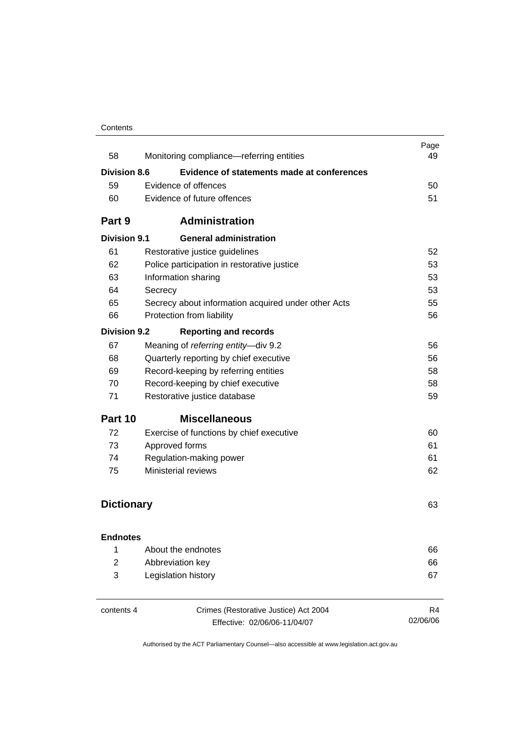### **Contents**

| 58                  | Monitoring compliance—referring entities            | Page<br>49 |
|---------------------|-----------------------------------------------------|------------|
| <b>Division 8.6</b> | Evidence of statements made at conferences          |            |
| 59                  | Evidence of offences                                | 50         |
| 60                  | Evidence of future offences                         | 51         |
| Part 9              | <b>Administration</b>                               |            |
| <b>Division 9.1</b> | <b>General administration</b>                       |            |
| 61                  | Restorative justice guidelines                      | 52         |
| 62                  | Police participation in restorative justice         | 53         |
| 63                  | Information sharing                                 | 53         |
| 64                  | Secrecy                                             | 53         |
| 65                  | Secrecy about information acquired under other Acts | 55         |
| 66                  | Protection from liability                           | 56         |
| Division 9.2        | <b>Reporting and records</b>                        |            |
| 67                  | Meaning of referring entity-div 9.2                 | 56         |
| 68                  | Quarterly reporting by chief executive              | 56         |
| 69                  | Record-keeping by referring entities                | 58         |
| 70                  | Record-keeping by chief executive                   | 58         |
| 71                  | Restorative justice database                        | 59         |
| Part 10             | <b>Miscellaneous</b>                                |            |
| 72                  | Exercise of functions by chief executive            | 60         |
| 73                  | Approved forms                                      | 61         |
| 74                  | Regulation-making power                             | 61         |
| 75                  | <b>Ministerial reviews</b>                          | 62         |
|                     |                                                     |            |
| <b>Dictionary</b>   |                                                     | 63         |
| <b>Endnotes</b>     |                                                     |            |
| 1                   | About the endnotes                                  | 66         |
| $\overline{2}$      | Abbreviation key                                    | 66         |
| 3                   | Legislation history                                 | 67         |
|                     |                                                     |            |

| contents 4 |  |
|------------|--|
|------------|--|

Crimes (Restorative Justice) Act 2004 Effective: 02/06/06-11/04/07

R4 02/06/06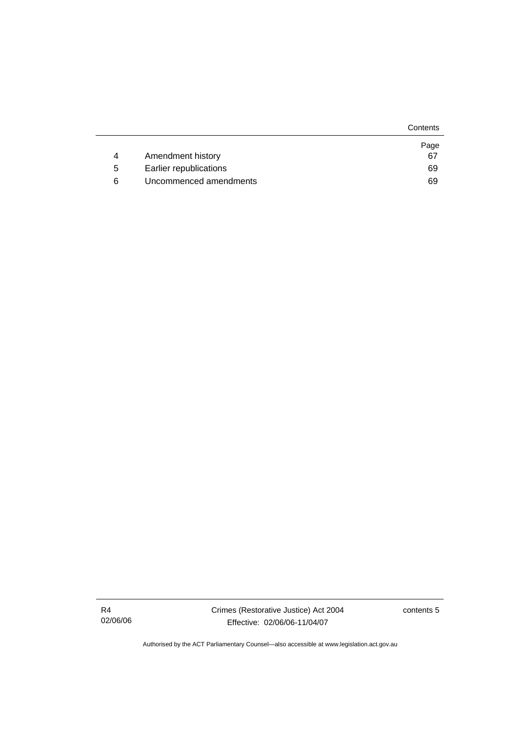|   |                        | Contents |
|---|------------------------|----------|
|   |                        | Page     |
| 4 | Amendment history      | 67       |
| 5 | Earlier republications | 69       |
| 6 | Uncommenced amendments | 69       |

R4 02/06/06 Crimes (Restorative Justice) Act 2004 Effective: 02/06/06-11/04/07

contents 5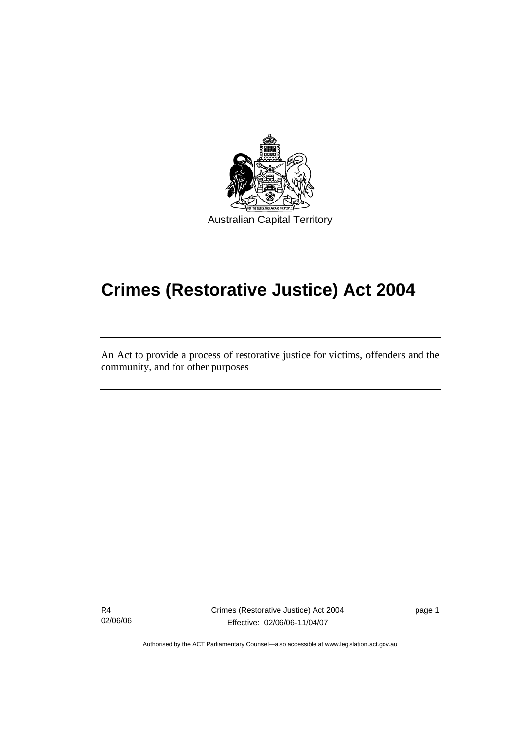

# **Crimes (Restorative Justice) Act 2004**

An Act to provide a process of restorative justice for victims, offenders and the community, and for other purposes

R4 02/06/06

l

Crimes (Restorative Justice) Act 2004 Effective: 02/06/06-11/04/07

page 1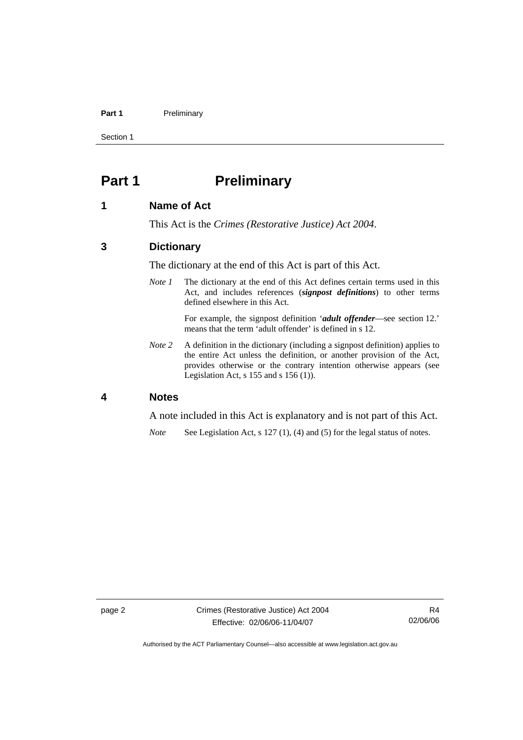#### Part 1 **Preliminary**

Section 1

# **Part 1** Preliminary

### **1 Name of Act**

This Act is the *Crimes (Restorative Justice) Act 2004*.

# **3 Dictionary**

The dictionary at the end of this Act is part of this Act.

*Note 1* The dictionary at the end of this Act defines certain terms used in this Act, and includes references (*signpost definitions*) to other terms defined elsewhere in this Act.

> For example, the signpost definition '*adult offender*—see section 12.' means that the term 'adult offender' is defined in s 12.

*Note 2* A definition in the dictionary (including a signpost definition) applies to the entire Act unless the definition, or another provision of the Act, provides otherwise or the contrary intention otherwise appears (see Legislation Act, s 155 and s 156 (1)).

#### **4 Notes**

A note included in this Act is explanatory and is not part of this Act.

*Note* See Legislation Act, s 127 (1), (4) and (5) for the legal status of notes.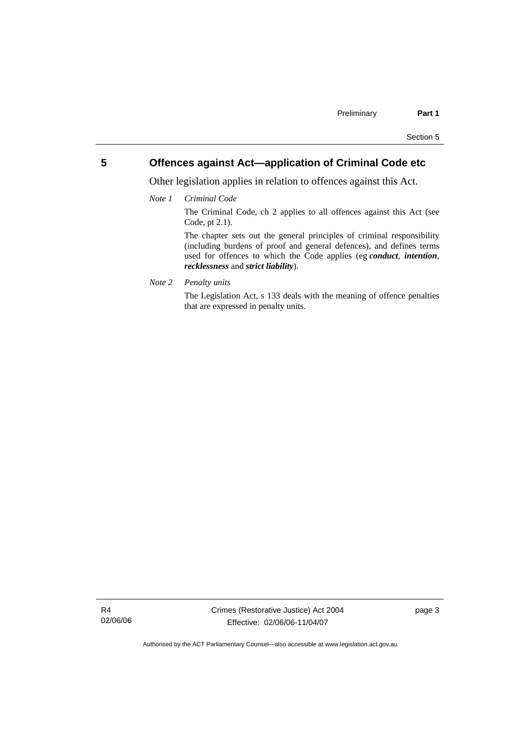# **5 Offences against Act—application of Criminal Code etc**

Other legislation applies in relation to offences against this Act.

*Note 1 Criminal Code*

The Criminal Code, ch 2 applies to all offences against this Act (see Code, pt 2.1).

The chapter sets out the general principles of criminal responsibility (including burdens of proof and general defences), and defines terms used for offences to which the Code applies (eg *conduct*, *intention*, *recklessness* and *strict liability*).

*Note 2 Penalty units* 

The Legislation Act, s 133 deals with the meaning of offence penalties that are expressed in penalty units.

R4 02/06/06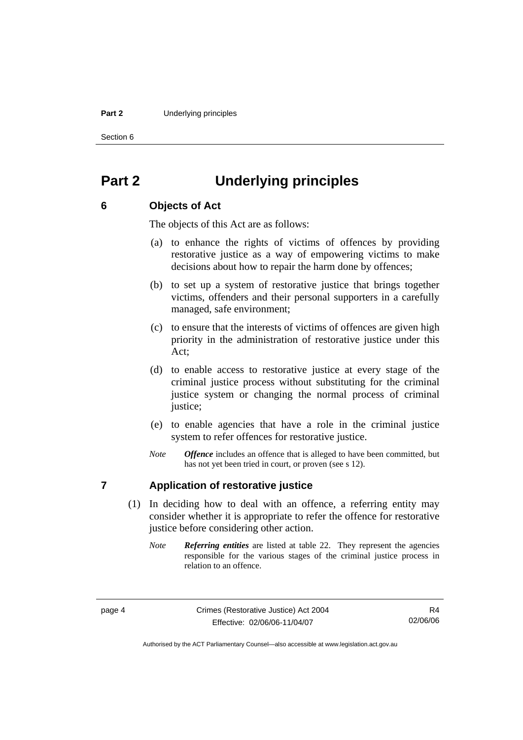#### **Part 2** Underlying principles

Section 6

# **Part 2 Underlying principles**

#### **6 Objects of Act**

The objects of this Act are as follows:

- (a) to enhance the rights of victims of offences by providing restorative justice as a way of empowering victims to make decisions about how to repair the harm done by offences;
- (b) to set up a system of restorative justice that brings together victims, offenders and their personal supporters in a carefully managed, safe environment;
- (c) to ensure that the interests of victims of offences are given high priority in the administration of restorative justice under this Act;
- (d) to enable access to restorative justice at every stage of the criminal justice process without substituting for the criminal justice system or changing the normal process of criminal justice;
- (e) to enable agencies that have a role in the criminal justice system to refer offences for restorative justice.
- *Note Offence* includes an offence that is alleged to have been committed, but has not yet been tried in court, or proven (see s 12).

# **7 Application of restorative justice**

- (1) In deciding how to deal with an offence, a referring entity may consider whether it is appropriate to refer the offence for restorative justice before considering other action.
	- *Note Referring entities* are listed at table 22. They represent the agencies responsible for the various stages of the criminal justice process in relation to an offence.

R4 02/06/06

Authorised by the ACT Parliamentary Counsel—also accessible at www.legislation.act.gov.au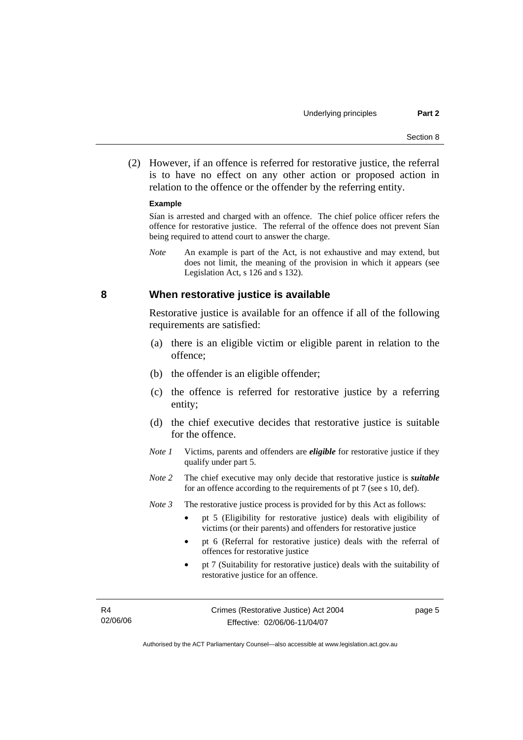(2) However, if an offence is referred for restorative justice, the referral is to have no effect on any other action or proposed action in relation to the offence or the offender by the referring entity.

#### **Example**

Sían is arrested and charged with an offence. The chief police officer refers the offence for restorative justice. The referral of the offence does not prevent Sían being required to attend court to answer the charge.

*Note* An example is part of the Act, is not exhaustive and may extend, but does not limit, the meaning of the provision in which it appears (see Legislation Act, s 126 and s 132).

### **8 When restorative justice is available**

Restorative justice is available for an offence if all of the following requirements are satisfied:

- (a) there is an eligible victim or eligible parent in relation to the offence;
- (b) the offender is an eligible offender;
- (c) the offence is referred for restorative justice by a referring entity;
- (d) the chief executive decides that restorative justice is suitable for the offence.
- *Note 1* Victims, parents and offenders are *eligible* for restorative justice if they qualify under part 5.
- *Note 2* The chief executive may only decide that restorative justice is *suitable*  for an offence according to the requirements of pt 7 (see s 10, def).

*Note 3* The restorative justice process is provided for by this Act as follows:

- pt 5 (Eligibility for restorative justice) deals with eligibility of victims (or their parents) and offenders for restorative justice
- pt 6 (Referral for restorative justice) deals with the referral of offences for restorative justice
- pt 7 (Suitability for restorative justice) deals with the suitability of restorative justice for an offence.

| R4       | Crimes (Restorative Justice) Act 2004<br>page 5 |  |
|----------|-------------------------------------------------|--|
| 02/06/06 | Effective: 02/06/06-11/04/07                    |  |

Authorised by the ACT Parliamentary Counsel—also accessible at www.legislation.act.gov.au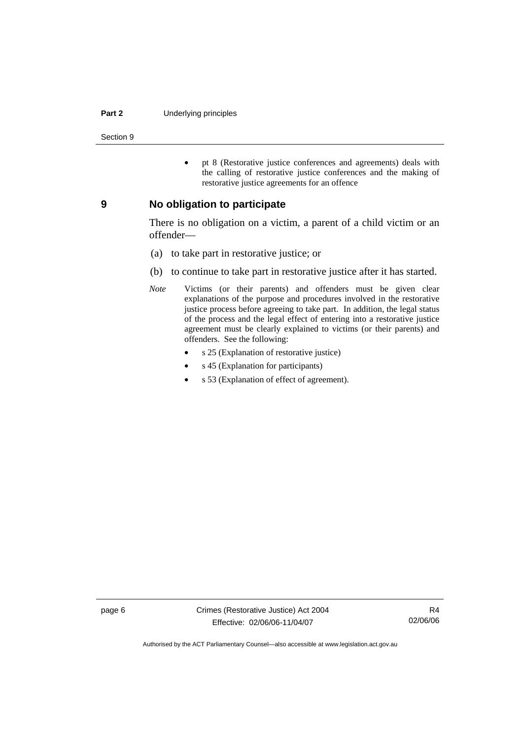#### **Part 2** Underlying principles

Section 9

• pt 8 (Restorative justice conferences and agreements) deals with the calling of restorative justice conferences and the making of restorative justice agreements for an offence

#### **9 No obligation to participate**

There is no obligation on a victim, a parent of a child victim or an offender—

- (a) to take part in restorative justice; or
- (b) to continue to take part in restorative justice after it has started.
- *Note* Victims (or their parents) and offenders must be given clear explanations of the purpose and procedures involved in the restorative justice process before agreeing to take part. In addition, the legal status of the process and the legal effect of entering into a restorative justice agreement must be clearly explained to victims (or their parents) and offenders. See the following:
	- s 25 (Explanation of restorative justice)
	- s 45 (Explanation for participants)
	- s 53 (Explanation of effect of agreement).

page 6 Crimes (Restorative Justice) Act 2004 Effective: 02/06/06-11/04/07

R4 02/06/06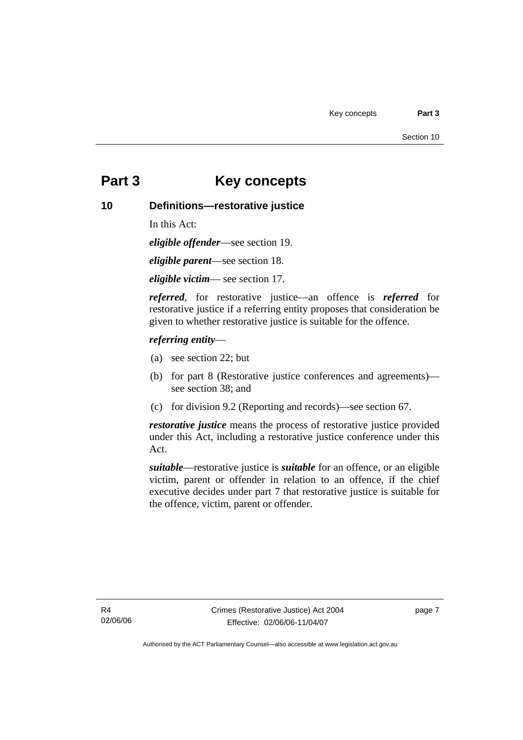# **Part 3 Key concepts**

## **10 Definitions—restorative justice**

In this Act:

*eligible offender*—see section 19.

*eligible parent*—see section 18.

*eligible victim*— see section 17.

*referred*, for restorative justice—an offence is *referred* for restorative justice if a referring entity proposes that consideration be given to whether restorative justice is suitable for the offence.

#### *referring entity*—

- (a) see section 22; but
- (b) for part 8 (Restorative justice conferences and agreements) see section 38; and
- (c) for division 9.2 (Reporting and records)—see section 67.

*restorative justice* means the process of restorative justice provided under this Act, including a restorative justice conference under this Act.

*suitable*—restorative justice is *suitable* for an offence, or an eligible victim, parent or offender in relation to an offence, if the chief executive decides under part 7 that restorative justice is suitable for the offence, victim, parent or offender.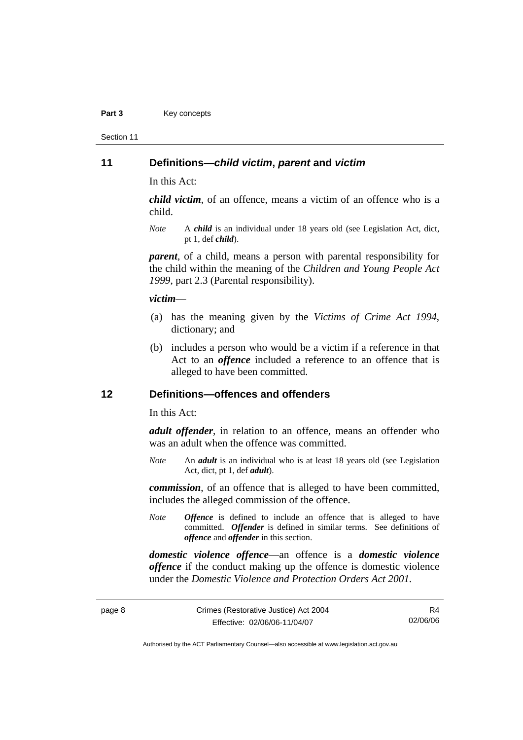#### Part 3 **Key concepts**

Section 11

#### **11 Definitions—***child victim***,** *parent* **and** *victim*

In this Act:

*child victim*, of an offence, means a victim of an offence who is a child.

*Note* A *child* is an individual under 18 years old (see Legislation Act, dict, pt 1, def *child*).

*parent*, of a child, means a person with parental responsibility for the child within the meaning of the *Children and Young People Act 1999*, part 2.3 (Parental responsibility).

#### *victim*—

- (a) has the meaning given by the *Victims of Crime Act 1994*, dictionary; and
- (b) includes a person who would be a victim if a reference in that Act to an *offence* included a reference to an offence that is alleged to have been committed.

#### **12 Definitions—offences and offenders**

In this Act:

*adult offender*, in relation to an offence, means an offender who was an adult when the offence was committed.

*Note* An *adult* is an individual who is at least 18 years old (see Legislation Act, dict, pt 1, def *adult*).

*commission*, of an offence that is alleged to have been committed, includes the alleged commission of the offence.

*Note Offence* is defined to include an offence that is alleged to have committed. *Offender* is defined in similar terms. See definitions of *offence* and *offender* in this section.

*domestic violence offence*—an offence is a *domestic violence offence* if the conduct making up the offence is domestic violence under the *Domestic Violence and Protection Orders Act 2001*.

R4 02/06/06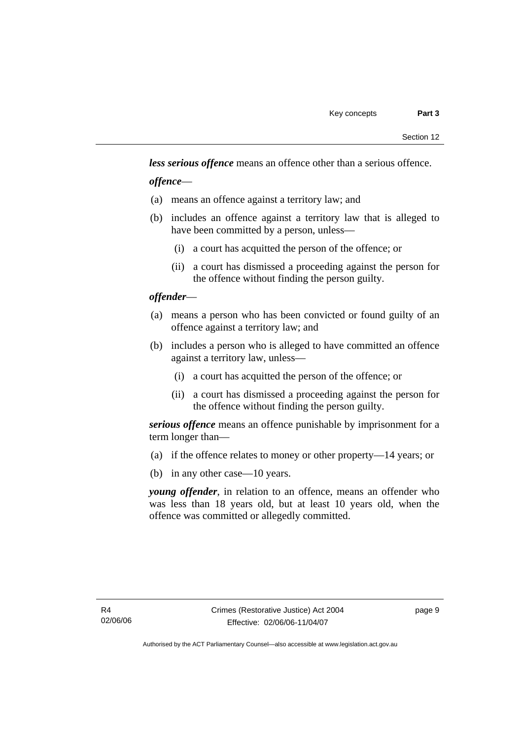*less serious offence* means an offence other than a serious offence.

*offence*—

- (a) means an offence against a territory law; and
- (b) includes an offence against a territory law that is alleged to have been committed by a person, unless—
	- (i) a court has acquitted the person of the offence; or
	- (ii) a court has dismissed a proceeding against the person for the offence without finding the person guilty.

### *offender*—

- (a) means a person who has been convicted or found guilty of an offence against a territory law; and
- (b) includes a person who is alleged to have committed an offence against a territory law, unless—
	- (i) a court has acquitted the person of the offence; or
	- (ii) a court has dismissed a proceeding against the person for the offence without finding the person guilty.

*serious offence* means an offence punishable by imprisonment for a term longer than—

- (a) if the offence relates to money or other property—14 years; or
- (b) in any other case—10 years.

*young offender*, in relation to an offence, means an offender who was less than 18 years old, but at least 10 years old, when the offence was committed or allegedly committed.

page 9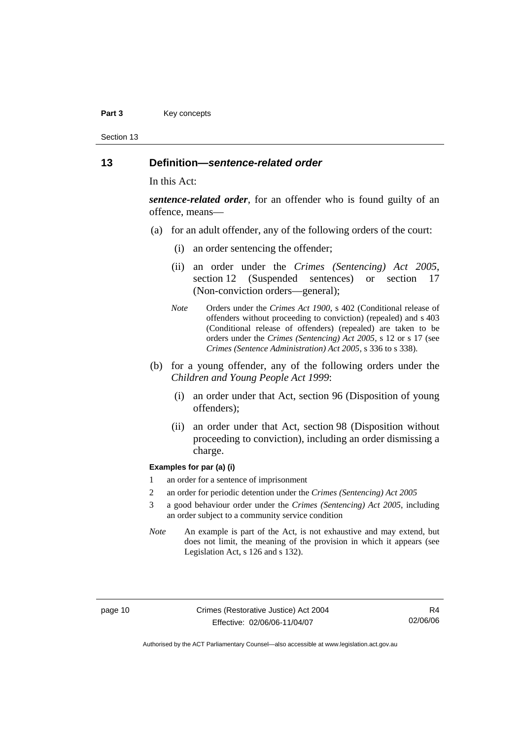#### Part 3 **Key concepts**

Section 13

### **13 Definition—***sentence-related order*

In this Act:

*sentence-related order*, for an offender who is found guilty of an offence, means—

- (a) for an adult offender, any of the following orders of the court:
	- (i) an order sentencing the offender;
	- (ii) an order under the *Crimes (Sentencing) Act 2005*, section 12 (Suspended sentences) or section 17 (Non-conviction orders—general);
	- *Note* Orders under the *Crimes Act 1900*, s 402 (Conditional release of offenders without proceeding to conviction) (repealed) and s 403 (Conditional release of offenders) (repealed) are taken to be orders under the *Crimes (Sentencing) Act 2005*, s 12 or s 17 (see *Crimes (Sentence Administration) Act 2005*, s 336 to s 338).
- (b) for a young offender, any of the following orders under the *Children and Young People Act 1999*:
	- (i) an order under that Act, section 96 (Disposition of young offenders);
	- (ii) an order under that Act, section 98 (Disposition without proceeding to conviction), including an order dismissing a charge.

#### **Examples for par (a) (i)**

- 1 an order for a sentence of imprisonment
- 2 an order for periodic detention under the *Crimes (Sentencing) Act 2005*
- 3 a good behaviour order under the *Crimes (Sentencing) Act 2005*, including an order subject to a community service condition
- *Note* An example is part of the Act, is not exhaustive and may extend, but does not limit, the meaning of the provision in which it appears (see Legislation Act, s 126 and s 132).

R4 02/06/06

Authorised by the ACT Parliamentary Counsel—also accessible at www.legislation.act.gov.au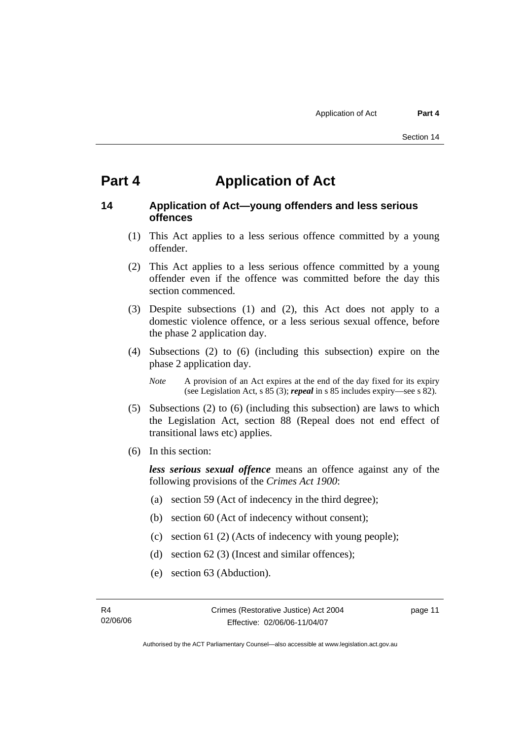# **Part 4 Application of Act**

## **14 Application of Act—young offenders and less serious offences**

- (1) This Act applies to a less serious offence committed by a young offender.
- (2) This Act applies to a less serious offence committed by a young offender even if the offence was committed before the day this section commenced.
- (3) Despite subsections (1) and (2), this Act does not apply to a domestic violence offence, or a less serious sexual offence, before the phase 2 application day.
- (4) Subsections (2) to (6) (including this subsection) expire on the phase 2 application day.

*Note* A provision of an Act expires at the end of the day fixed for its expiry (see Legislation Act, s 85 (3); *repeal* in s 85 includes expiry—see s 82).

- (5) Subsections (2) to (6) (including this subsection) are laws to which the Legislation Act, section 88 (Repeal does not end effect of transitional laws etc) applies.
- (6) In this section:

*less serious sexual offence* means an offence against any of the following provisions of the *Crimes Act 1900*:

- (a) section 59 (Act of indecency in the third degree);
- (b) section 60 (Act of indecency without consent);
- (c) section 61 (2) (Acts of indecency with young people);
- (d) section 62 (3) (Incest and similar offences);
- (e) section 63 (Abduction).

page 11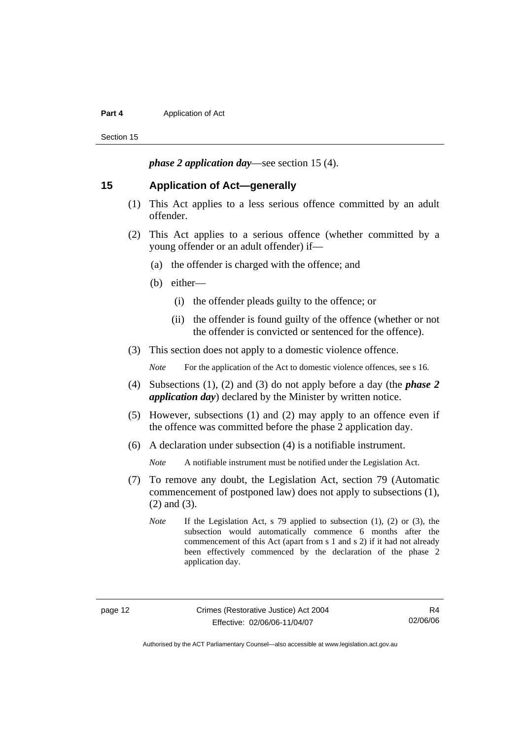#### **Part 4 Application of Act**

Section 15

*phase 2 application day*—see section 15 (4).

#### **15 Application of Act—generally**

- (1) This Act applies to a less serious offence committed by an adult offender.
- (2) This Act applies to a serious offence (whether committed by a young offender or an adult offender) if—
	- (a) the offender is charged with the offence; and
	- (b) either—
		- (i) the offender pleads guilty to the offence; or
		- (ii) the offender is found guilty of the offence (whether or not the offender is convicted or sentenced for the offence).
- (3) This section does not apply to a domestic violence offence.

*Note* For the application of the Act to domestic violence offences, see s 16.

- (4) Subsections (1), (2) and (3) do not apply before a day (the *phase 2 application day*) declared by the Minister by written notice.
- (5) However, subsections (1) and (2) may apply to an offence even if the offence was committed before the phase 2 application day.
- (6) A declaration under subsection (4) is a notifiable instrument.

*Note* A notifiable instrument must be notified under the Legislation Act.

- (7) To remove any doubt, the Legislation Act, section 79 (Automatic commencement of postponed law) does not apply to subsections (1), (2) and (3).
	- *Note* If the Legislation Act, s 79 applied to subsection (1), (2) or (3), the subsection would automatically commence 6 months after the commencement of this Act (apart from s 1 and s 2) if it had not already been effectively commenced by the declaration of the phase 2 application day.

R4 02/06/06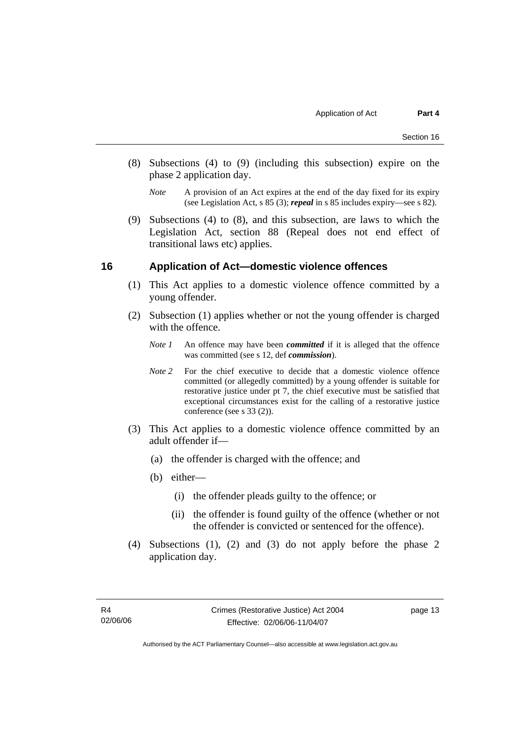- (8) Subsections (4) to (9) (including this subsection) expire on the phase 2 application day.
	- *Note* A provision of an Act expires at the end of the day fixed for its expiry (see Legislation Act, s 85 (3); *repeal* in s 85 includes expiry—see s 82).
- (9) Subsections (4) to (8), and this subsection, are laws to which the Legislation Act, section 88 (Repeal does not end effect of transitional laws etc) applies.

### **16 Application of Act—domestic violence offences**

- (1) This Act applies to a domestic violence offence committed by a young offender.
- (2) Subsection (1) applies whether or not the young offender is charged with the offence.
	- *Note 1* An offence may have been *committed* if it is alleged that the offence was committed (see s 12, def *commission*).
	- *Note* 2 For the chief executive to decide that a domestic violence offence committed (or allegedly committed) by a young offender is suitable for restorative justice under pt 7, the chief executive must be satisfied that exceptional circumstances exist for the calling of a restorative justice conference (see s 33 (2)).
- (3) This Act applies to a domestic violence offence committed by an adult offender if—
	- (a) the offender is charged with the offence; and
	- (b) either—
		- (i) the offender pleads guilty to the offence; or
		- (ii) the offender is found guilty of the offence (whether or not the offender is convicted or sentenced for the offence).
- (4) Subsections (1), (2) and (3) do not apply before the phase 2 application day.

page 13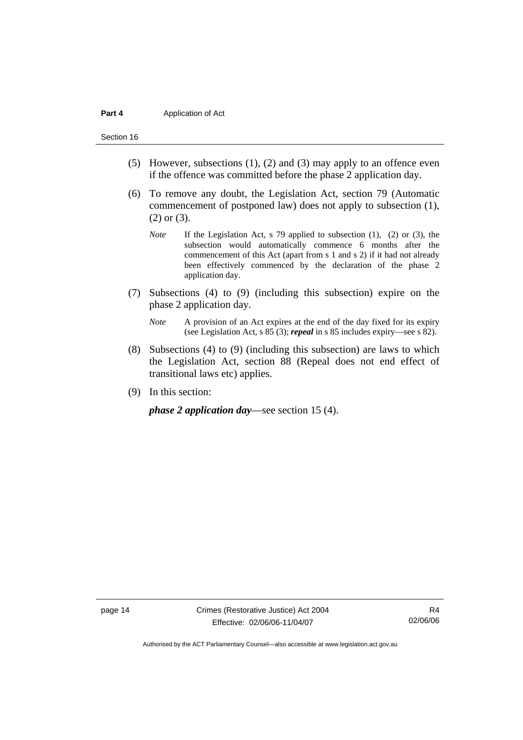#### **Part 4 Application of Act**

#### Section 16

- (5) However, subsections (1), (2) and (3) may apply to an offence even if the offence was committed before the phase 2 application day.
- (6) To remove any doubt, the Legislation Act, section 79 (Automatic commencement of postponed law) does not apply to subsection (1), (2) or (3).
	- *Note* If the Legislation Act, s 79 applied to subsection (1), (2) or (3), the subsection would automatically commence 6 months after the commencement of this Act (apart from s 1 and s 2) if it had not already been effectively commenced by the declaration of the phase 2 application day.
- (7) Subsections (4) to (9) (including this subsection) expire on the phase 2 application day.
	- *Note* A provision of an Act expires at the end of the day fixed for its expiry (see Legislation Act, s 85 (3); *repeal* in s 85 includes expiry—see s 82).
- (8) Subsections (4) to (9) (including this subsection) are laws to which the Legislation Act, section 88 (Repeal does not end effect of transitional laws etc) applies.
- (9) In this section:

*phase 2 application day*—see section 15 (4).

page 14 Crimes (Restorative Justice) Act 2004 Effective: 02/06/06-11/04/07

R4 02/06/06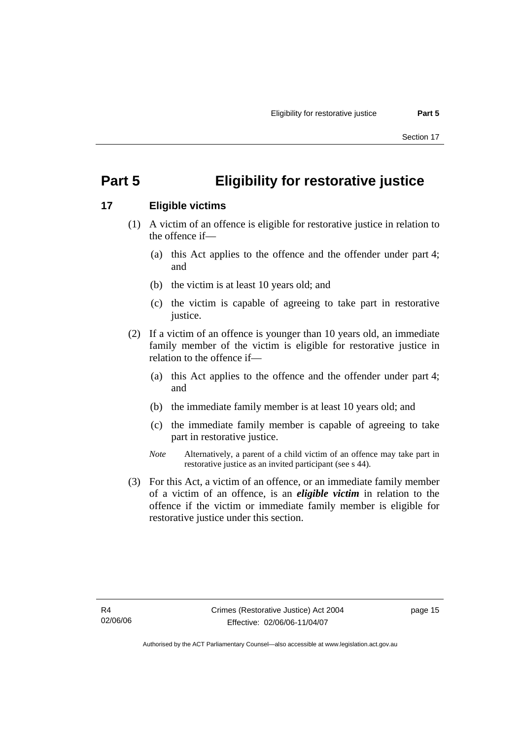# **Part 5 Eligibility for restorative justice**

## **17 Eligible victims**

- (1) A victim of an offence is eligible for restorative justice in relation to the offence if—
	- (a) this Act applies to the offence and the offender under part 4; and
	- (b) the victim is at least 10 years old; and
	- (c) the victim is capable of agreeing to take part in restorative justice.
- (2) If a victim of an offence is younger than 10 years old, an immediate family member of the victim is eligible for restorative justice in relation to the offence if—
	- (a) this Act applies to the offence and the offender under part 4; and
	- (b) the immediate family member is at least 10 years old; and
	- (c) the immediate family member is capable of agreeing to take part in restorative justice.
	- *Note* Alternatively, a parent of a child victim of an offence may take part in restorative justice as an invited participant (see s 44).
- (3) For this Act, a victim of an offence, or an immediate family member of a victim of an offence, is an *eligible victim* in relation to the offence if the victim or immediate family member is eligible for restorative justice under this section.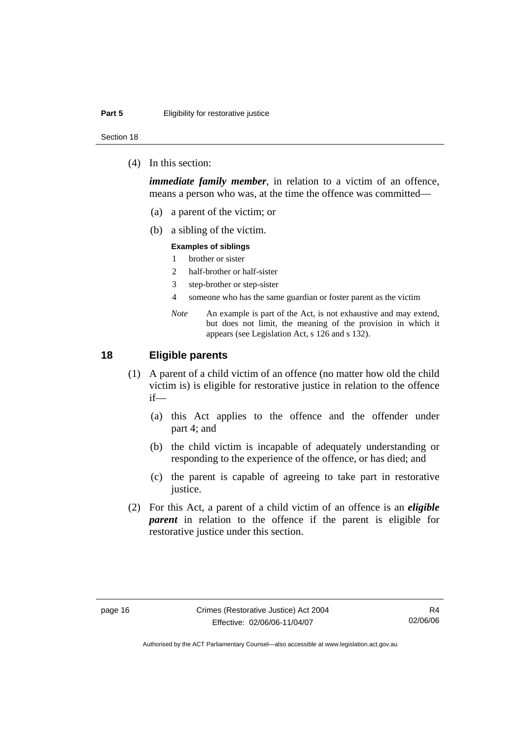Section 18

(4) In this section:

*immediate family member*, in relation to a victim of an offence, means a person who was, at the time the offence was committed—

- (a) a parent of the victim; or
- (b) a sibling of the victim.

#### **Examples of siblings**

- 1 brother or sister
- 2 half-brother or half-sister
- 3 step-brother or step-sister
- 4 someone who has the same guardian or foster parent as the victim
- *Note* An example is part of the Act, is not exhaustive and may extend, but does not limit, the meaning of the provision in which it appears (see Legislation Act, s 126 and s 132).

### **18 Eligible parents**

- (1) A parent of a child victim of an offence (no matter how old the child victim is) is eligible for restorative justice in relation to the offence if—
	- (a) this Act applies to the offence and the offender under part 4; and
	- (b) the child victim is incapable of adequately understanding or responding to the experience of the offence, or has died; and
	- (c) the parent is capable of agreeing to take part in restorative justice.
- (2) For this Act, a parent of a child victim of an offence is an *eligible parent* in relation to the offence if the parent is eligible for restorative justice under this section.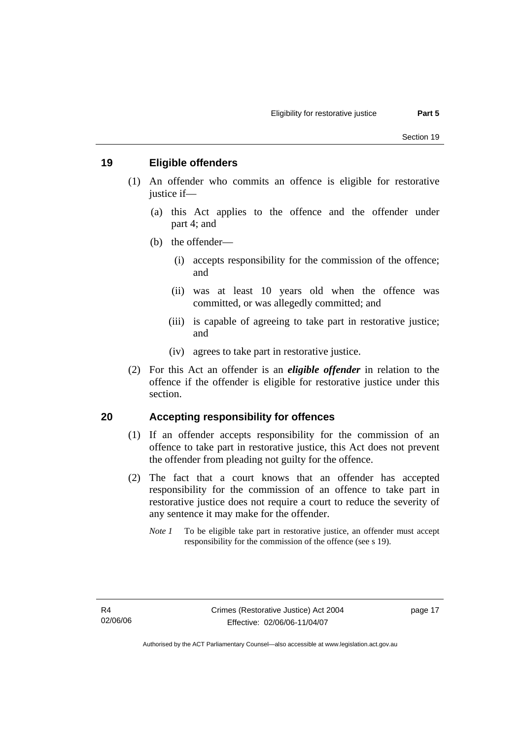# **19 Eligible offenders**

- (1) An offender who commits an offence is eligible for restorative justice if—
	- (a) this Act applies to the offence and the offender under part 4; and
	- (b) the offender—
		- (i) accepts responsibility for the commission of the offence; and
		- (ii) was at least 10 years old when the offence was committed, or was allegedly committed; and
		- (iii) is capable of agreeing to take part in restorative justice; and
		- (iv) agrees to take part in restorative justice.
- (2) For this Act an offender is an *eligible offender* in relation to the offence if the offender is eligible for restorative justice under this section.

#### **20 Accepting responsibility for offences**

- (1) If an offender accepts responsibility for the commission of an offence to take part in restorative justice, this Act does not prevent the offender from pleading not guilty for the offence.
- (2) The fact that a court knows that an offender has accepted responsibility for the commission of an offence to take part in restorative justice does not require a court to reduce the severity of any sentence it may make for the offender.
	- *Note 1* To be eligible take part in restorative justice, an offender must accept responsibility for the commission of the offence (see s 19).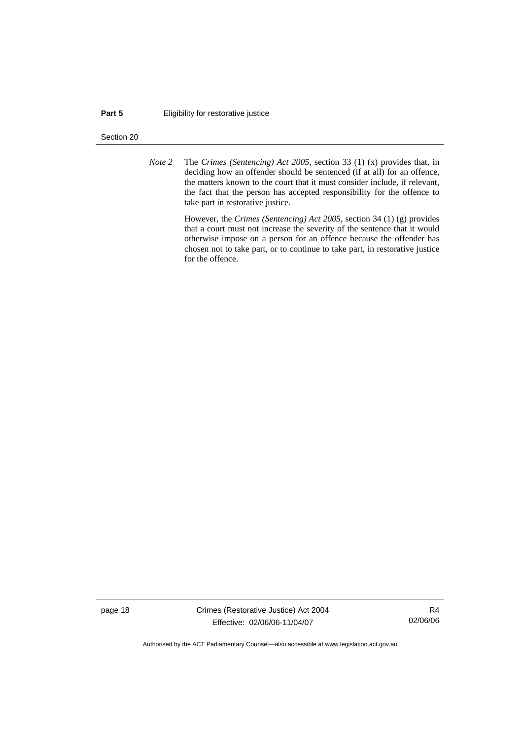#### **Part 5 Eligibility for restorative justice**

#### Section 20

*Note 2* The *Crimes (Sentencing) Act 2005*, section 33 (1) (x) provides that, in deciding how an offender should be sentenced (if at all) for an offence, the matters known to the court that it must consider include, if relevant, the fact that the person has accepted responsibility for the offence to take part in restorative justice.

> However, the *Crimes (Sentencing) Act 2005*, section 34 (1) (g) provides that a court must not increase the severity of the sentence that it would otherwise impose on a person for an offence because the offender has chosen not to take part, or to continue to take part, in restorative justice for the offence.

page 18 Crimes (Restorative Justice) Act 2004 Effective: 02/06/06-11/04/07

R4 02/06/06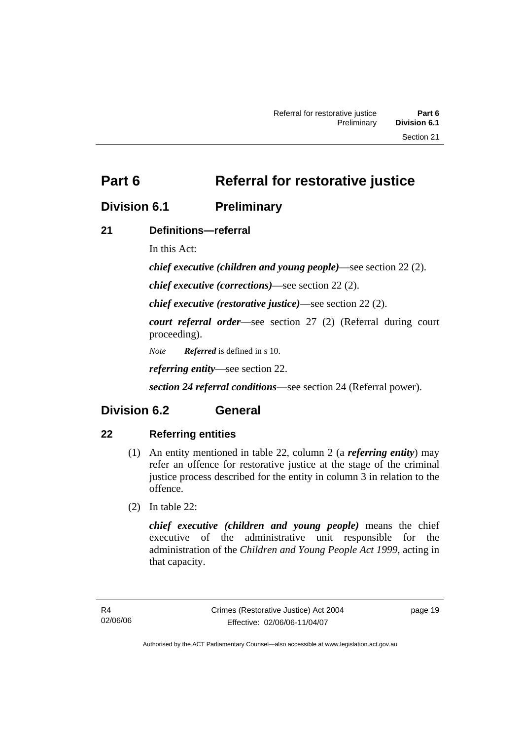**Part 6** Referral for restorative justice

# **Division 6.1 Preliminary**

# **21 Definitions—referral**

In this Act:

*chief executive (children and young people)*—see section 22 (2).

*chief executive (corrections)*—see section 22 (2).

*chief executive (restorative justice)*—see section 22 (2).

*court referral order*—see section 27 (2) (Referral during court proceeding).

*Note Referred* is defined in s 10.

*referring entity*—see section 22.

*section 24 referral conditions*—see section 24 (Referral power).

# **Division 6.2 General**

# **22 Referring entities**

- (1) An entity mentioned in table 22, column 2 (a *referring entity*) may refer an offence for restorative justice at the stage of the criminal justice process described for the entity in column 3 in relation to the offence.
- (2) In table 22:

*chief executive (children and young people)* means the chief executive of the administrative unit responsible for the administration of the *Children and Young People Act 1999*, acting in that capacity.

page 19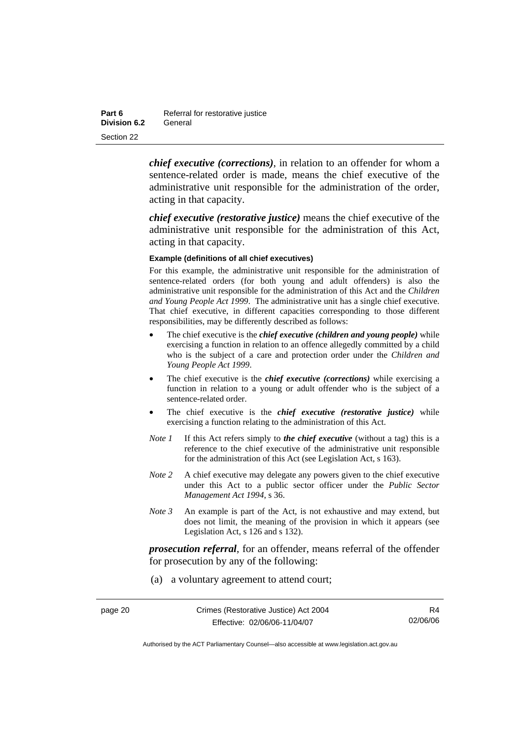| Part 6       | Referral for restorative justice |
|--------------|----------------------------------|
| Division 6.2 | General                          |
| Section 22   |                                  |

*chief executive (corrections)*, in relation to an offender for whom a sentence-related order is made, means the chief executive of the administrative unit responsible for the administration of the order, acting in that capacity.

*chief executive (restorative justice)* means the chief executive of the administrative unit responsible for the administration of this Act, acting in that capacity.

#### **Example (definitions of all chief executives)**

For this example, the administrative unit responsible for the administration of sentence-related orders (for both young and adult offenders) is also the administrative unit responsible for the administration of this Act and the *Children and Young People Act 1999*. The administrative unit has a single chief executive. That chief executive, in different capacities corresponding to those different responsibilities, may be differently described as follows:

- The chief executive is the *chief executive (children and young people)* while exercising a function in relation to an offence allegedly committed by a child who is the subject of a care and protection order under the *Children and Young People Act 1999*.
- The chief executive is the *chief executive (corrections)* while exercising a function in relation to a young or adult offender who is the subject of a sentence-related order.
- The chief executive is the *chief executive (restorative justice)* while exercising a function relating to the administration of this Act.
- *Note 1* If this Act refers simply to *the chief executive* (without a tag) this is a reference to the chief executive of the administrative unit responsible for the administration of this Act (see Legislation Act, s 163).
- *Note 2* A chief executive may delegate any powers given to the chief executive under this Act to a public sector officer under the *Public Sector Management Act 1994*, s 36.
- *Note 3* An example is part of the Act, is not exhaustive and may extend, but does not limit, the meaning of the provision in which it appears (see Legislation Act, s 126 and s 132).

*prosecution referral*, for an offender, means referral of the offender for prosecution by any of the following:

(a) a voluntary agreement to attend court;

| page 20 | Crimes (Restorative Justice) Act 2004 |          |
|---------|---------------------------------------|----------|
|         | Effective: 02/06/06-11/04/07          | 02/06/06 |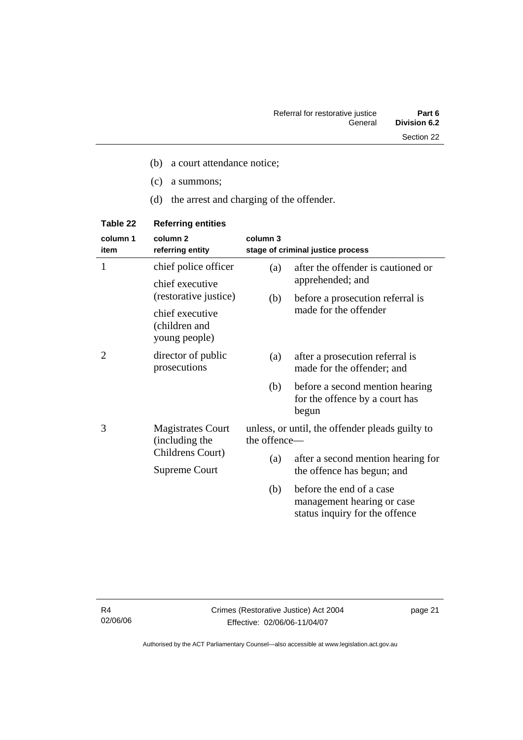- (c) a summons;
- (d) the arrest and charging of the offender.

| column 1<br>item | column <sub>2</sub><br>referring entity           | column 3                                                        | stage of criminal justice process                                                        |
|------------------|---------------------------------------------------|-----------------------------------------------------------------|------------------------------------------------------------------------------------------|
| 1                | chief police officer                              | (a)                                                             | after the offender is cautioned or                                                       |
|                  | chief executive<br>(restorative justice)          | (b)                                                             | apprehended; and<br>before a prosecution referral is                                     |
|                  | chief executive<br>(children and<br>young people) |                                                                 | made for the offender                                                                    |
| 2                | director of public<br>prosecutions                | (a)                                                             | after a prosecution referral is<br>made for the offender; and                            |
|                  |                                                   | (b)                                                             | before a second mention hearing<br>for the offence by a court has<br>begun               |
| 3                | <b>Magistrates Court</b><br>(including the        | unless, or until, the offender pleads guilty to<br>the offence- |                                                                                          |
|                  | Childrens Court)<br>Supreme Court                 | (a)                                                             | after a second mention hearing for<br>the offence has begun; and                         |
|                  |                                                   | (b)                                                             | before the end of a case<br>management hearing or case<br>status inquiry for the offence |

# **Table 22 Referring entities**

R4 02/06/06 page 21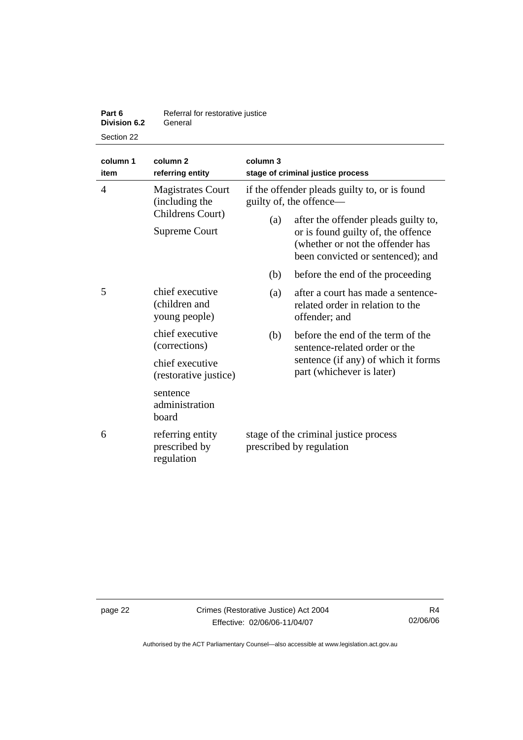| Part 6              | Referral for restorative justice |
|---------------------|----------------------------------|
| <b>Division 6.2</b> | General                          |
| Section 22          |                                  |

| column 1<br>item | column <sub>2</sub><br>referring entity                                         | column 3                                                          | stage of criminal justice process                                                                                                                                                                                               |
|------------------|---------------------------------------------------------------------------------|-------------------------------------------------------------------|---------------------------------------------------------------------------------------------------------------------------------------------------------------------------------------------------------------------------------|
| $\overline{4}$   | <b>Magistrates Court</b><br>(including the<br>Childrens Court)<br>Supreme Court | (a)                                                               | if the offender pleads guilty to, or is found<br>guilty of, the offence—<br>after the offender pleads guilty to,<br>or is found guilty of, the offence<br>(whether or not the offender has<br>been convicted or sentenced); and |
|                  |                                                                                 | (b)                                                               | before the end of the proceeding                                                                                                                                                                                                |
| 5                | chief executive<br>(children and<br>young people)                               | (a)                                                               | after a court has made a sentence-<br>related order in relation to the<br>offender; and                                                                                                                                         |
|                  | chief executive<br>(corrections)                                                | (b)                                                               | before the end of the term of the<br>sentence-related order or the                                                                                                                                                              |
|                  | chief executive<br>(restorative justice)                                        |                                                                   | sentence (if any) of which it forms<br>part (whichever is later)                                                                                                                                                                |
|                  | sentence<br>administration<br>board                                             |                                                                   |                                                                                                                                                                                                                                 |
| 6                | referring entity<br>prescribed by<br>regulation                                 | stage of the criminal justice process<br>prescribed by regulation |                                                                                                                                                                                                                                 |

page 22 Crimes (Restorative Justice) Act 2004 Effective: 02/06/06-11/04/07

R4 02/06/06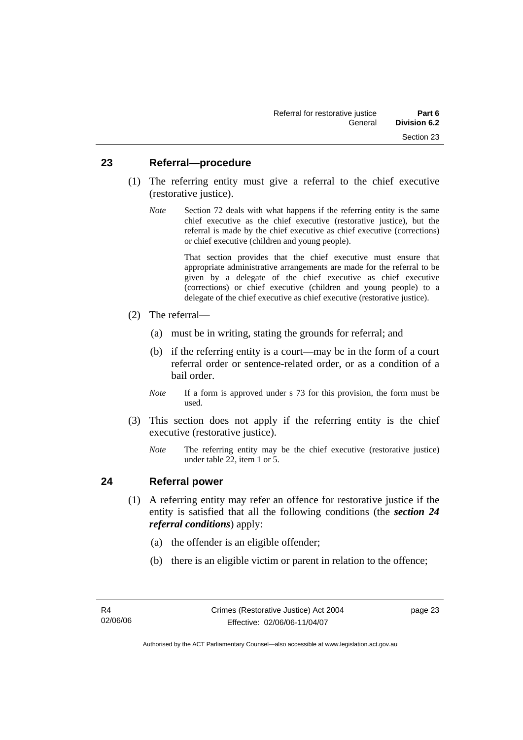### **23 Referral—procedure**

- (1) The referring entity must give a referral to the chief executive (restorative justice).
	- *Note* Section 72 deals with what happens if the referring entity is the same chief executive as the chief executive (restorative justice), but the referral is made by the chief executive as chief executive (corrections) or chief executive (children and young people).

 That section provides that the chief executive must ensure that appropriate administrative arrangements are made for the referral to be given by a delegate of the chief executive as chief executive (corrections) or chief executive (children and young people) to a delegate of the chief executive as chief executive (restorative justice).

- (2) The referral—
	- (a) must be in writing, stating the grounds for referral; and
	- (b) if the referring entity is a court—may be in the form of a court referral order or sentence-related order, or as a condition of a bail order.
	- *Note* If a form is approved under s 73 for this provision, the form must be used.
- (3) This section does not apply if the referring entity is the chief executive (restorative justice).
	- *Note* The referring entity may be the chief executive (restorative justice) under table 22, item 1 or 5.

## **24 Referral power**

- (1) A referring entity may refer an offence for restorative justice if the entity is satisfied that all the following conditions (the *section 24 referral conditions*) apply:
	- (a) the offender is an eligible offender;
	- (b) there is an eligible victim or parent in relation to the offence;

page 23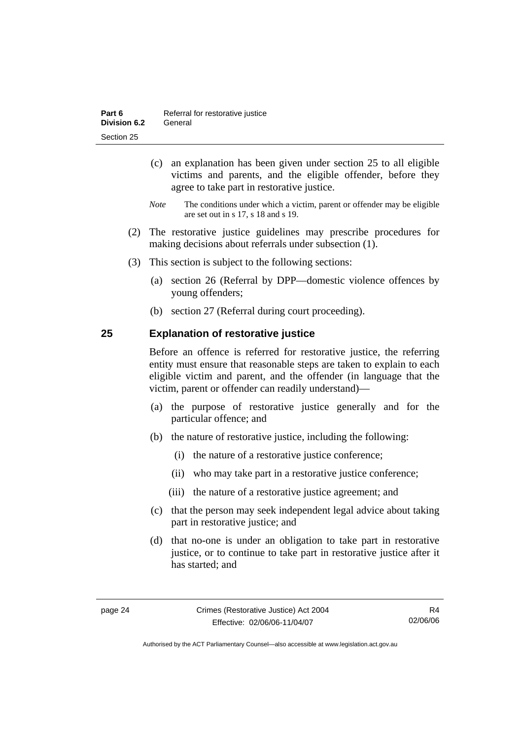- (c) an explanation has been given under section 25 to all eligible victims and parents, and the eligible offender, before they agree to take part in restorative justice.
- *Note* The conditions under which a victim, parent or offender may be eligible are set out in s 17, s 18 and s 19.
- (2) The restorative justice guidelines may prescribe procedures for making decisions about referrals under subsection (1).
- (3) This section is subject to the following sections:
	- (a) section 26 (Referral by DPP—domestic violence offences by young offenders;
	- (b) section 27 (Referral during court proceeding).

# **25 Explanation of restorative justice**

Before an offence is referred for restorative justice, the referring entity must ensure that reasonable steps are taken to explain to each eligible victim and parent, and the offender (in language that the victim, parent or offender can readily understand)—

- (a) the purpose of restorative justice generally and for the particular offence; and
- (b) the nature of restorative justice, including the following:
	- (i) the nature of a restorative justice conference;
	- (ii) who may take part in a restorative justice conference;
	- (iii) the nature of a restorative justice agreement; and
- (c) that the person may seek independent legal advice about taking part in restorative justice; and
- (d) that no-one is under an obligation to take part in restorative justice, or to continue to take part in restorative justice after it has started; and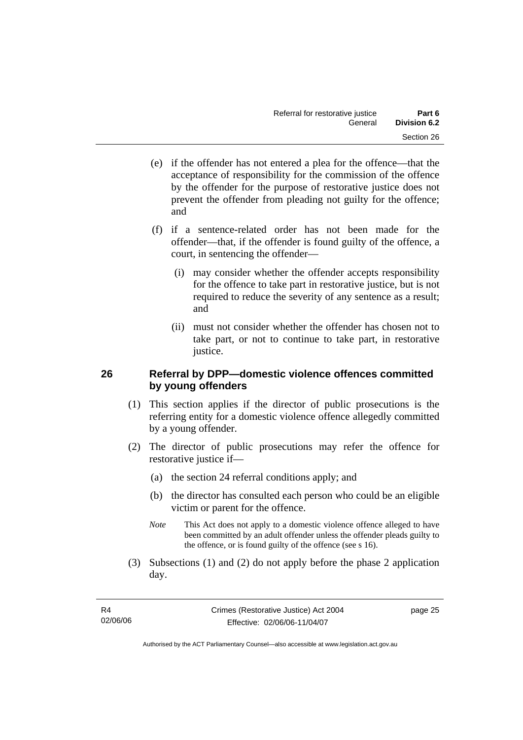- (e) if the offender has not entered a plea for the offence—that the acceptance of responsibility for the commission of the offence by the offender for the purpose of restorative justice does not prevent the offender from pleading not guilty for the offence; and
- (f) if a sentence-related order has not been made for the offender—that, if the offender is found guilty of the offence, a court, in sentencing the offender—
	- (i) may consider whether the offender accepts responsibility for the offence to take part in restorative justice, but is not required to reduce the severity of any sentence as a result; and
	- (ii) must not consider whether the offender has chosen not to take part, or not to continue to take part, in restorative justice.

# **26 Referral by DPP—domestic violence offences committed by young offenders**

- (1) This section applies if the director of public prosecutions is the referring entity for a domestic violence offence allegedly committed by a young offender.
- (2) The director of public prosecutions may refer the offence for restorative justice if—
	- (a) the section 24 referral conditions apply; and
	- (b) the director has consulted each person who could be an eligible victim or parent for the offence.
	- *Note* This Act does not apply to a domestic violence offence alleged to have been committed by an adult offender unless the offender pleads guilty to the offence, or is found guilty of the offence (see s 16).
- (3) Subsections (1) and (2) do not apply before the phase 2 application day.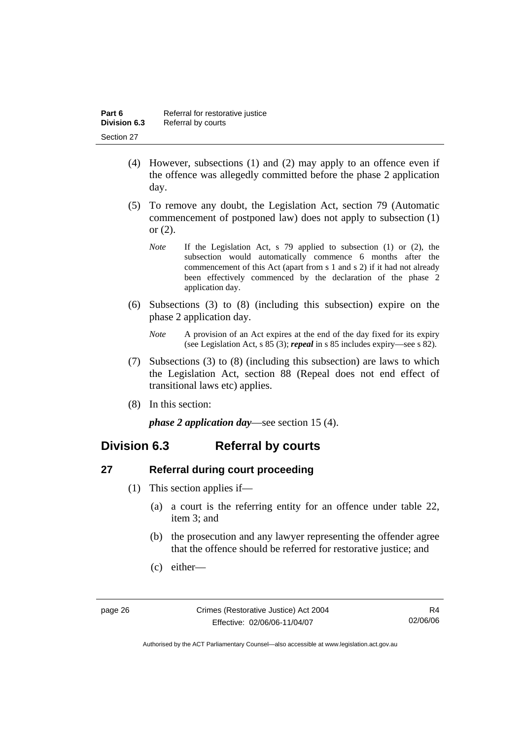- (4) However, subsections (1) and (2) may apply to an offence even if the offence was allegedly committed before the phase 2 application day.
- (5) To remove any doubt, the Legislation Act, section 79 (Automatic commencement of postponed law) does not apply to subsection (1) or (2).
	- *Note* If the Legislation Act, s 79 applied to subsection (1) or (2), the subsection would automatically commence 6 months after the commencement of this Act (apart from s 1 and s 2) if it had not already been effectively commenced by the declaration of the phase 2 application day.
- (6) Subsections (3) to (8) (including this subsection) expire on the phase 2 application day.
	- *Note* A provision of an Act expires at the end of the day fixed for its expiry (see Legislation Act, s 85 (3); *repeal* in s 85 includes expiry—see s 82).
- (7) Subsections (3) to (8) (including this subsection) are laws to which the Legislation Act, section 88 (Repeal does not end effect of transitional laws etc) applies.
- (8) In this section:

*phase 2 application day*—see section 15 (4).

# **Division 6.3 Referral by courts**

# **27 Referral during court proceeding**

- (1) This section applies if—
	- (a) a court is the referring entity for an offence under table 22, item 3; and
	- (b) the prosecution and any lawyer representing the offender agree that the offence should be referred for restorative justice; and
	- (c) either—

R4 02/06/06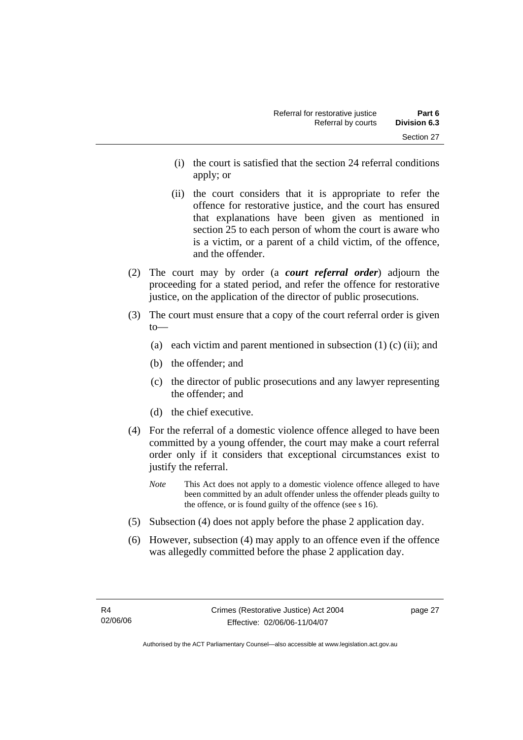- (i) the court is satisfied that the section 24 referral conditions apply; or
- (ii) the court considers that it is appropriate to refer the offence for restorative justice, and the court has ensured that explanations have been given as mentioned in section 25 to each person of whom the court is aware who is a victim, or a parent of a child victim, of the offence, and the offender.
- (2) The court may by order (a *court referral order*) adjourn the proceeding for a stated period, and refer the offence for restorative justice, on the application of the director of public prosecutions.
- (3) The court must ensure that a copy of the court referral order is given to—
	- (a) each victim and parent mentioned in subsection  $(1)$  (c) (ii); and
	- (b) the offender; and
	- (c) the director of public prosecutions and any lawyer representing the offender; and
	- (d) the chief executive.
- (4) For the referral of a domestic violence offence alleged to have been committed by a young offender, the court may make a court referral order only if it considers that exceptional circumstances exist to justify the referral.
	- *Note* This Act does not apply to a domestic violence offence alleged to have been committed by an adult offender unless the offender pleads guilty to the offence, or is found guilty of the offence (see s 16).
- (5) Subsection (4) does not apply before the phase 2 application day.
- (6) However, subsection (4) may apply to an offence even if the offence was allegedly committed before the phase 2 application day.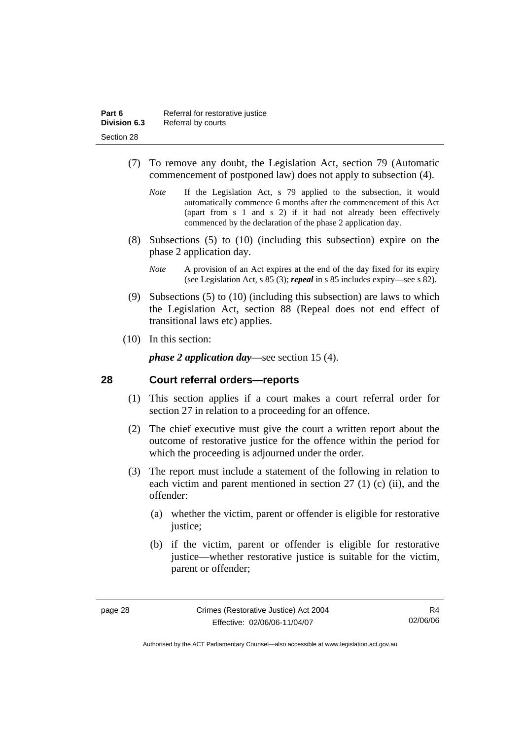- (7) To remove any doubt, the Legislation Act, section 79 (Automatic commencement of postponed law) does not apply to subsection (4).
	- *Note* If the Legislation Act, s 79 applied to the subsection, it would automatically commence 6 months after the commencement of this Act (apart from s 1 and s 2) if it had not already been effectively commenced by the declaration of the phase 2 application day.
- (8) Subsections (5) to (10) (including this subsection) expire on the phase 2 application day.
	- *Note* A provision of an Act expires at the end of the day fixed for its expiry (see Legislation Act, s 85 (3); *repeal* in s 85 includes expiry—see s 82).
- (9) Subsections (5) to (10) (including this subsection) are laws to which the Legislation Act, section 88 (Repeal does not end effect of transitional laws etc) applies.
- (10) In this section:

*phase 2 application day*—see section 15 (4).

## **28 Court referral orders—reports**

- (1) This section applies if a court makes a court referral order for section 27 in relation to a proceeding for an offence.
- (2) The chief executive must give the court a written report about the outcome of restorative justice for the offence within the period for which the proceeding is adjourned under the order.
- (3) The report must include a statement of the following in relation to each victim and parent mentioned in section 27 (1) (c) (ii), and the offender:
	- (a) whether the victim, parent or offender is eligible for restorative justice;
	- (b) if the victim, parent or offender is eligible for restorative justice—whether restorative justice is suitable for the victim, parent or offender;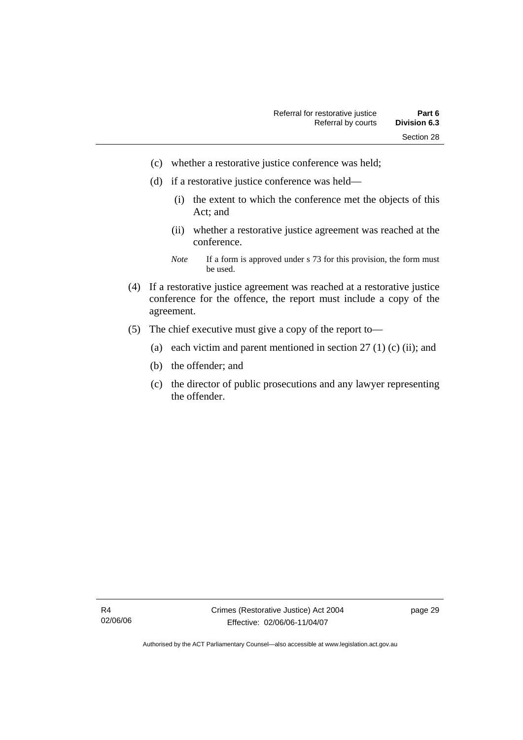- (c) whether a restorative justice conference was held;
- (d) if a restorative justice conference was held—
	- (i) the extent to which the conference met the objects of this Act; and
	- (ii) whether a restorative justice agreement was reached at the conference.
	- *Note* If a form is approved under s 73 for this provision, the form must be used.
- (4) If a restorative justice agreement was reached at a restorative justice conference for the offence, the report must include a copy of the agreement.
- (5) The chief executive must give a copy of the report to—
	- (a) each victim and parent mentioned in section  $27(1)(c)$  (ii); and
	- (b) the offender; and
	- (c) the director of public prosecutions and any lawyer representing the offender.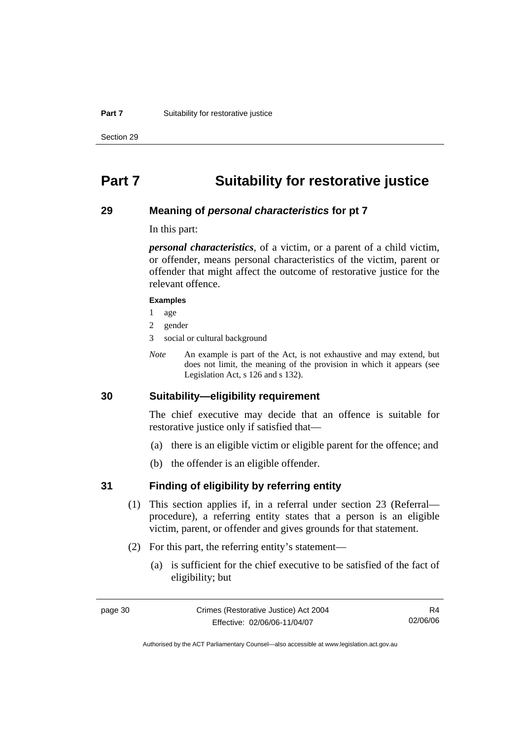#### **Part 7** Suitability for restorative justice

Section 29

# **Part 7 Suitability for restorative justice**

#### **29 Meaning of** *personal characteristics* **for pt 7**

In this part:

*personal characteristics*, of a victim, or a parent of a child victim, or offender, means personal characteristics of the victim, parent or offender that might affect the outcome of restorative justice for the relevant offence.

#### **Examples**

- 1 age
- 2 gender
- 3 social or cultural background
- *Note* An example is part of the Act, is not exhaustive and may extend, but does not limit, the meaning of the provision in which it appears (see Legislation Act, s 126 and s 132).

## **30 Suitability—eligibility requirement**

The chief executive may decide that an offence is suitable for restorative justice only if satisfied that—

- (a) there is an eligible victim or eligible parent for the offence; and
- (b) the offender is an eligible offender.

## **31 Finding of eligibility by referring entity**

- (1) This section applies if, in a referral under section 23 (Referral procedure), a referring entity states that a person is an eligible victim, parent, or offender and gives grounds for that statement.
- (2) For this part, the referring entity's statement—
	- (a) is sufficient for the chief executive to be satisfied of the fact of eligibility; but

R4 02/06/06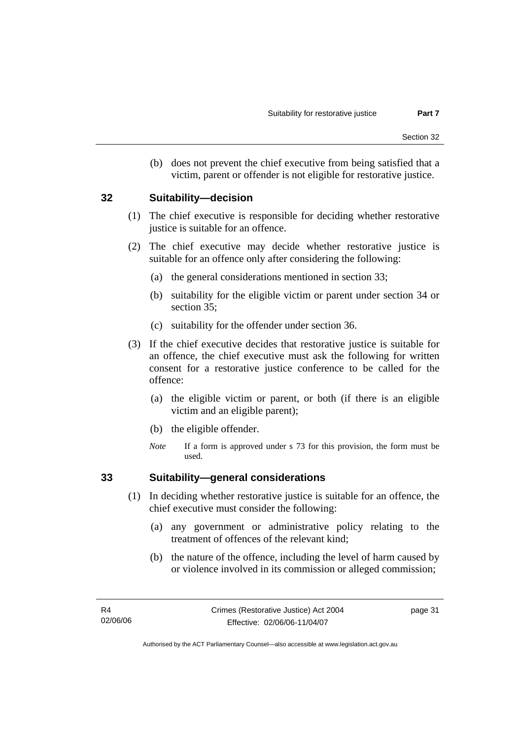(b) does not prevent the chief executive from being satisfied that a victim, parent or offender is not eligible for restorative justice.

### **32 Suitability—decision**

- (1) The chief executive is responsible for deciding whether restorative justice is suitable for an offence.
- (2) The chief executive may decide whether restorative justice is suitable for an offence only after considering the following:
	- (a) the general considerations mentioned in section 33;
	- (b) suitability for the eligible victim or parent under section 34 or section 35;
	- (c) suitability for the offender under section 36.
- (3) If the chief executive decides that restorative justice is suitable for an offence, the chief executive must ask the following for written consent for a restorative justice conference to be called for the offence:
	- (a) the eligible victim or parent, or both (if there is an eligible victim and an eligible parent);
	- (b) the eligible offender.
	- *Note* If a form is approved under s 73 for this provision, the form must be used.

## **33 Suitability—general considerations**

- (1) In deciding whether restorative justice is suitable for an offence, the chief executive must consider the following:
	- (a) any government or administrative policy relating to the treatment of offences of the relevant kind;
	- (b) the nature of the offence, including the level of harm caused by or violence involved in its commission or alleged commission;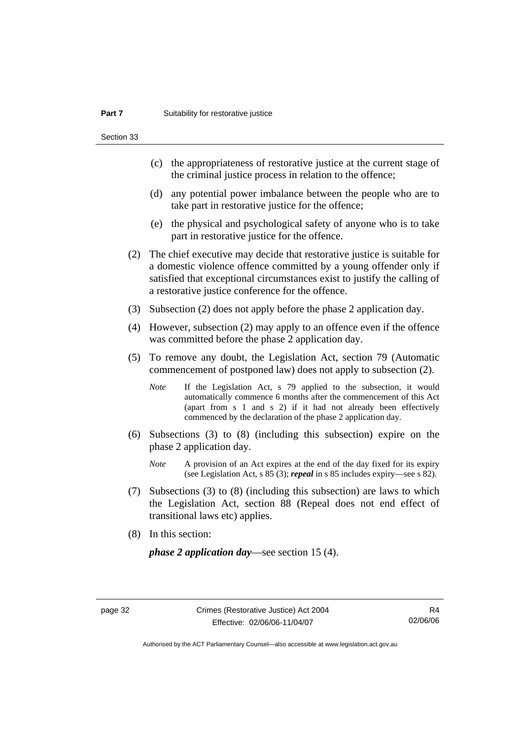Section 33

- (c) the appropriateness of restorative justice at the current stage of the criminal justice process in relation to the offence;
- (d) any potential power imbalance between the people who are to take part in restorative justice for the offence;
- (e) the physical and psychological safety of anyone who is to take part in restorative justice for the offence.
- (2) The chief executive may decide that restorative justice is suitable for a domestic violence offence committed by a young offender only if satisfied that exceptional circumstances exist to justify the calling of a restorative justice conference for the offence.
- (3) Subsection (2) does not apply before the phase 2 application day.
- (4) However, subsection (2) may apply to an offence even if the offence was committed before the phase 2 application day.
- (5) To remove any doubt, the Legislation Act, section 79 (Automatic commencement of postponed law) does not apply to subsection (2).
	- *Note* If the Legislation Act, s 79 applied to the subsection, it would automatically commence 6 months after the commencement of this Act (apart from s 1 and s 2) if it had not already been effectively commenced by the declaration of the phase 2 application day.
- (6) Subsections (3) to (8) (including this subsection) expire on the phase 2 application day.
	- *Note* A provision of an Act expires at the end of the day fixed for its expiry (see Legislation Act, s 85 (3); *repeal* in s 85 includes expiry—see s 82).
- (7) Subsections (3) to (8) (including this subsection) are laws to which the Legislation Act, section 88 (Repeal does not end effect of transitional laws etc) applies.
- (8) In this section:

*phase 2 application day*—see section 15 (4).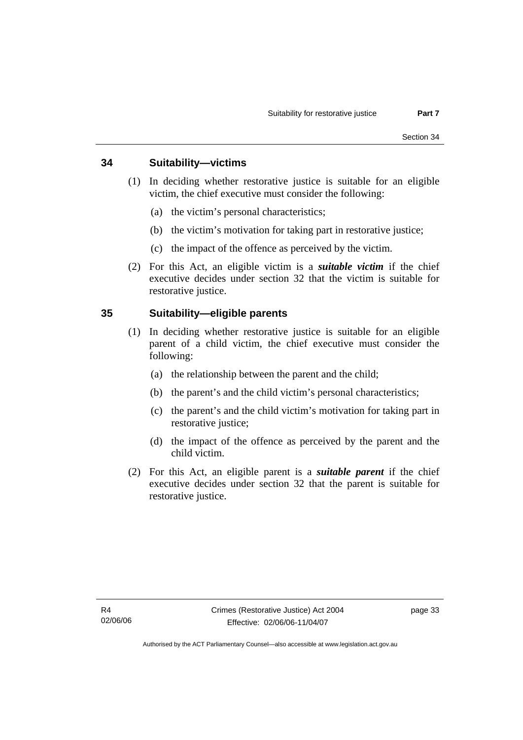# **34 Suitability—victims**

- (1) In deciding whether restorative justice is suitable for an eligible victim, the chief executive must consider the following:
	- (a) the victim's personal characteristics;
	- (b) the victim's motivation for taking part in restorative justice;
	- (c) the impact of the offence as perceived by the victim.
- (2) For this Act, an eligible victim is a *suitable victim* if the chief executive decides under section 32 that the victim is suitable for restorative justice.

# **35 Suitability—eligible parents**

- (1) In deciding whether restorative justice is suitable for an eligible parent of a child victim, the chief executive must consider the following:
	- (a) the relationship between the parent and the child;
	- (b) the parent's and the child victim's personal characteristics;
	- (c) the parent's and the child victim's motivation for taking part in restorative justice;
	- (d) the impact of the offence as perceived by the parent and the child victim.
- (2) For this Act, an eligible parent is a *suitable parent* if the chief executive decides under section 32 that the parent is suitable for restorative justice.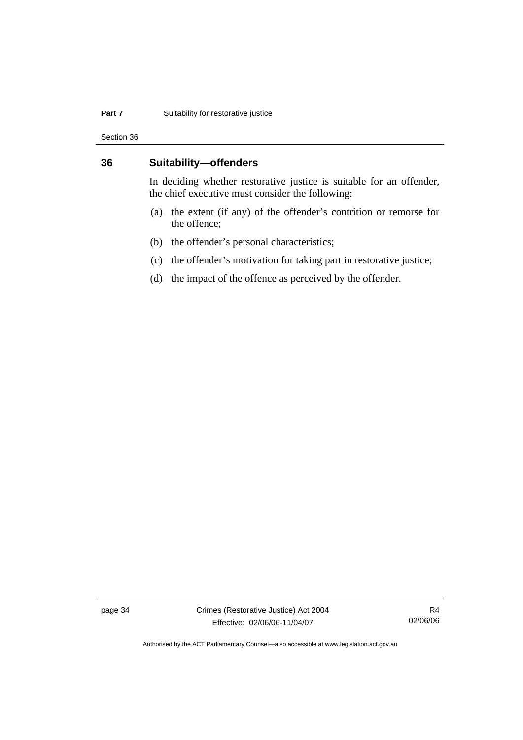#### **Part 7** Suitability for restorative justice

Section 36

## **36 Suitability—offenders**

In deciding whether restorative justice is suitable for an offender, the chief executive must consider the following:

- (a) the extent (if any) of the offender's contrition or remorse for the offence;
- (b) the offender's personal characteristics;
- (c) the offender's motivation for taking part in restorative justice;
- (d) the impact of the offence as perceived by the offender.

page 34 Crimes (Restorative Justice) Act 2004 Effective: 02/06/06-11/04/07

R4 02/06/06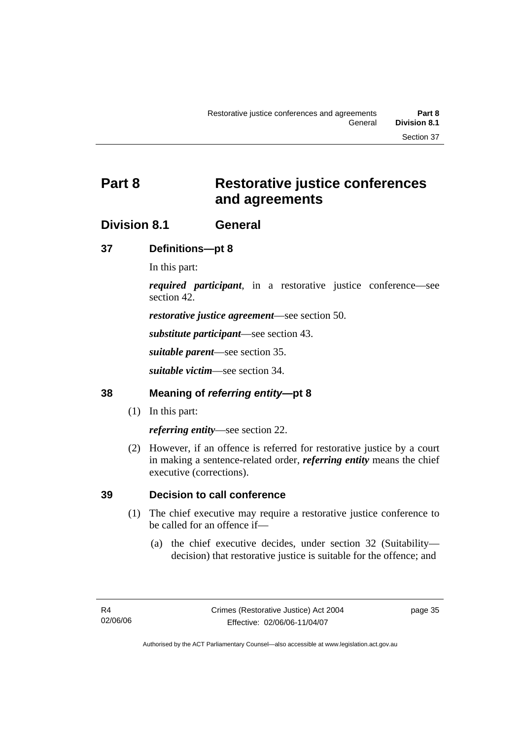# **Part 8 Restorative justice conferences and agreements**

# **Division 8.1 General**

# **37 Definitions—pt 8**

In this part:

*required participant*, in a restorative justice conference—see section 42.

*restorative justice agreement*—see section 50.

*substitute participant*—see section 43.

*suitable parent*—see section 35.

*suitable victim*—see section 34.

# **38 Meaning of** *referring entity***—pt 8**

(1) In this part:

*referring entity*—see section 22.

 (2) However, if an offence is referred for restorative justice by a court in making a sentence-related order, *referring entity* means the chief executive (corrections).

# **39 Decision to call conference**

- (1) The chief executive may require a restorative justice conference to be called for an offence if—
	- (a) the chief executive decides, under section 32 (Suitability decision) that restorative justice is suitable for the offence; and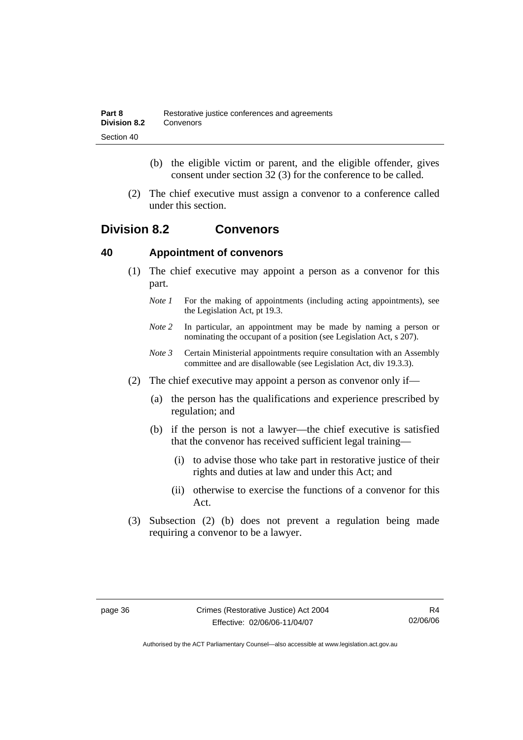- (b) the eligible victim or parent, and the eligible offender, gives consent under section 32 (3) for the conference to be called.
- (2) The chief executive must assign a convenor to a conference called under this section.

# **Division 8.2 Convenors**

# **40 Appointment of convenors**

- (1) The chief executive may appoint a person as a convenor for this part.
	- *Note 1* For the making of appointments (including acting appointments), see the Legislation Act, pt 19.3.
	- *Note 2* In particular, an appointment may be made by naming a person or nominating the occupant of a position (see Legislation Act, s 207).
	- *Note 3* Certain Ministerial appointments require consultation with an Assembly committee and are disallowable (see Legislation Act, div 19.3.3).
- (2) The chief executive may appoint a person as convenor only if—
	- (a) the person has the qualifications and experience prescribed by regulation; and
	- (b) if the person is not a lawyer—the chief executive is satisfied that the convenor has received sufficient legal training—
		- (i) to advise those who take part in restorative justice of their rights and duties at law and under this Act; and
		- (ii) otherwise to exercise the functions of a convenor for this Act.
- (3) Subsection (2) (b) does not prevent a regulation being made requiring a convenor to be a lawyer.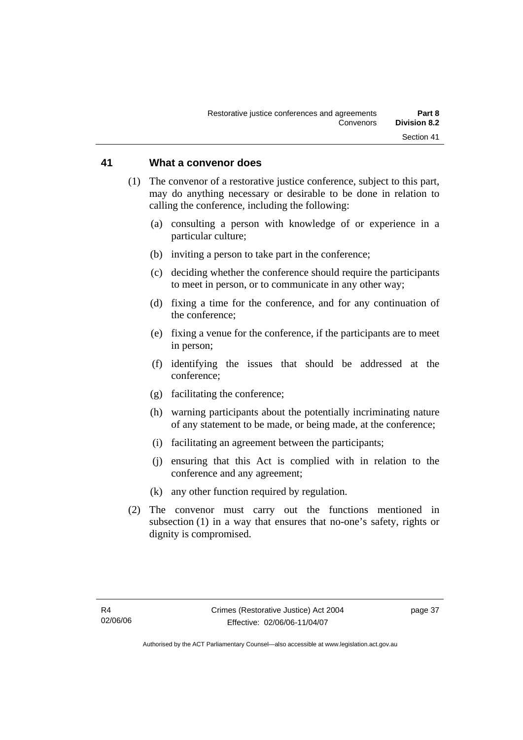#### **41 What a convenor does**

- (1) The convenor of a restorative justice conference, subject to this part, may do anything necessary or desirable to be done in relation to calling the conference, including the following:
	- (a) consulting a person with knowledge of or experience in a particular culture;
	- (b) inviting a person to take part in the conference;
	- (c) deciding whether the conference should require the participants to meet in person, or to communicate in any other way;
	- (d) fixing a time for the conference, and for any continuation of the conference;
	- (e) fixing a venue for the conference, if the participants are to meet in person;
	- (f) identifying the issues that should be addressed at the conference;
	- (g) facilitating the conference;
	- (h) warning participants about the potentially incriminating nature of any statement to be made, or being made, at the conference;
	- (i) facilitating an agreement between the participants;
	- (j) ensuring that this Act is complied with in relation to the conference and any agreement;
	- (k) any other function required by regulation.
- (2) The convenor must carry out the functions mentioned in subsection (1) in a way that ensures that no-one's safety, rights or dignity is compromised.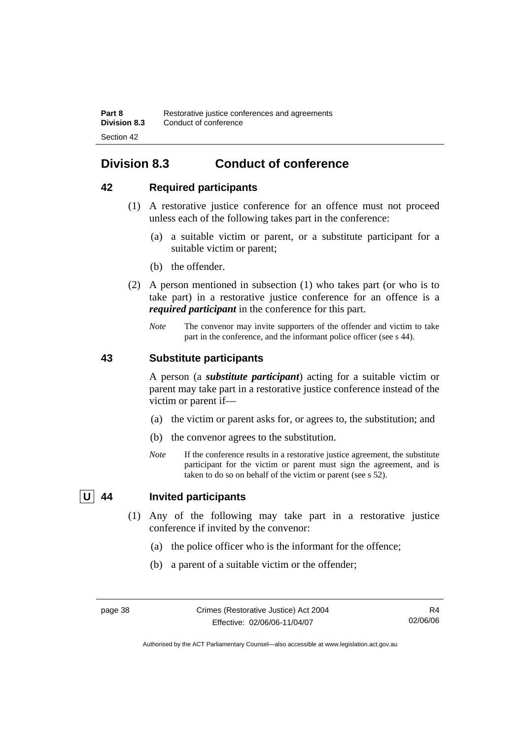# **Division 8.3 Conduct of conference**

# **42 Required participants**

- (1) A restorative justice conference for an offence must not proceed unless each of the following takes part in the conference:
	- (a) a suitable victim or parent, or a substitute participant for a suitable victim or parent;
	- (b) the offender.
- (2) A person mentioned in subsection (1) who takes part (or who is to take part) in a restorative justice conference for an offence is a *required participant* in the conference for this part.
	- *Note* The convenor may invite supporters of the offender and victim to take part in the conference, and the informant police officer (see s 44).

# **43 Substitute participants**

A person (a *substitute participant*) acting for a suitable victim or parent may take part in a restorative justice conference instead of the victim or parent if—

- (a) the victim or parent asks for, or agrees to, the substitution; and
- (b) the convenor agrees to the substitution.
- *Note* If the conference results in a restorative justice agreement, the substitute participant for the victim or parent must sign the agreement, and is taken to do so on behalf of the victim or parent (see s 52).

# **U 44 Invited participants**

- (1) Any of the following may take part in a restorative justice conference if invited by the convenor:
	- (a) the police officer who is the informant for the offence;
	- (b) a parent of a suitable victim or the offender;

Authorised by the ACT Parliamentary Counsel—also accessible at www.legislation.act.gov.au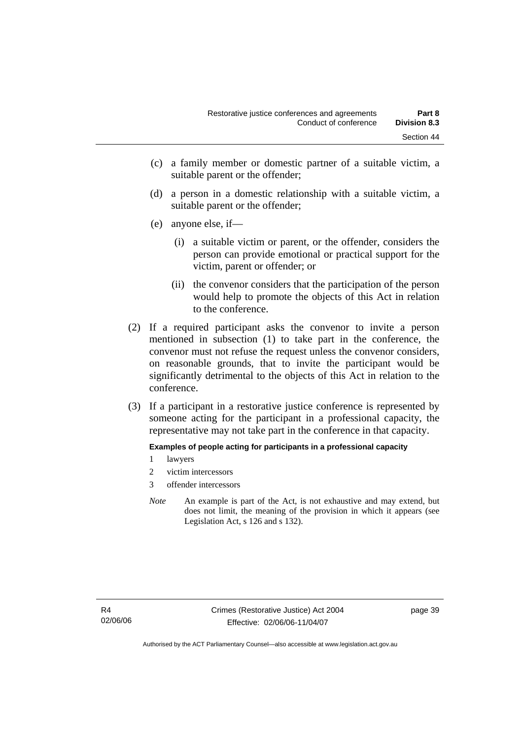- (c) a family member or domestic partner of a suitable victim, a suitable parent or the offender;
- (d) a person in a domestic relationship with a suitable victim, a suitable parent or the offender;
- (e) anyone else, if—
	- (i) a suitable victim or parent, or the offender, considers the person can provide emotional or practical support for the victim, parent or offender; or
	- (ii) the convenor considers that the participation of the person would help to promote the objects of this Act in relation to the conference.
- (2) If a required participant asks the convenor to invite a person mentioned in subsection (1) to take part in the conference, the convenor must not refuse the request unless the convenor considers, on reasonable grounds, that to invite the participant would be significantly detrimental to the objects of this Act in relation to the conference.
- (3) If a participant in a restorative justice conference is represented by someone acting for the participant in a professional capacity, the representative may not take part in the conference in that capacity.

**Examples of people acting for participants in a professional capacity** 

- 1 lawyers
- 2 victim intercessors
- 3 offender intercessors
- *Note* An example is part of the Act, is not exhaustive and may extend, but does not limit, the meaning of the provision in which it appears (see Legislation Act, s 126 and s 132).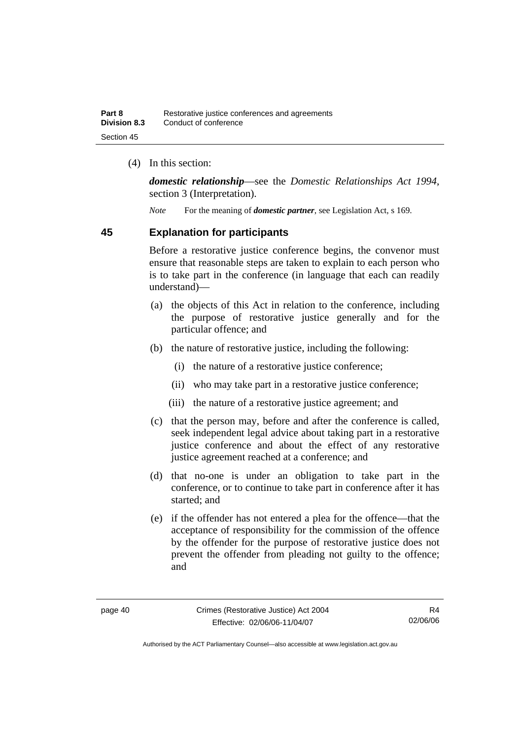(4) In this section:

*domestic relationship*—see the *Domestic Relationships Act 1994*, section 3 (Interpretation).

*Note* For the meaning of *domestic partner*, see Legislation Act, s 169.

## **45 Explanation for participants**

Before a restorative justice conference begins, the convenor must ensure that reasonable steps are taken to explain to each person who is to take part in the conference (in language that each can readily understand)—

- (a) the objects of this Act in relation to the conference, including the purpose of restorative justice generally and for the particular offence; and
- (b) the nature of restorative justice, including the following:
	- (i) the nature of a restorative justice conference;
	- (ii) who may take part in a restorative justice conference;
	- (iii) the nature of a restorative justice agreement; and
- (c) that the person may, before and after the conference is called, seek independent legal advice about taking part in a restorative justice conference and about the effect of any restorative justice agreement reached at a conference; and
- (d) that no-one is under an obligation to take part in the conference, or to continue to take part in conference after it has started; and
- (e) if the offender has not entered a plea for the offence—that the acceptance of responsibility for the commission of the offence by the offender for the purpose of restorative justice does not prevent the offender from pleading not guilty to the offence; and

R4 02/06/06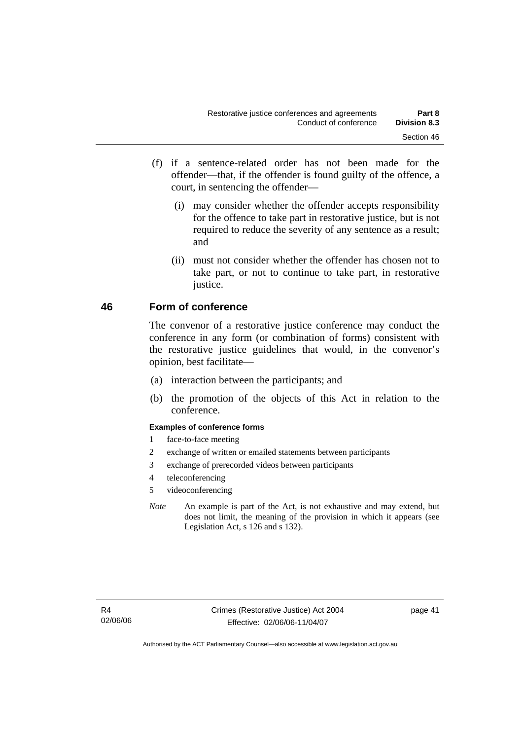- (f) if a sentence-related order has not been made for the offender—that, if the offender is found guilty of the offence, a court, in sentencing the offender—
	- (i) may consider whether the offender accepts responsibility for the offence to take part in restorative justice, but is not required to reduce the severity of any sentence as a result; and
	- (ii) must not consider whether the offender has chosen not to take part, or not to continue to take part, in restorative justice.

# **46 Form of conference**

The convenor of a restorative justice conference may conduct the conference in any form (or combination of forms) consistent with the restorative justice guidelines that would, in the convenor's opinion, best facilitate—

- (a) interaction between the participants; and
- (b) the promotion of the objects of this Act in relation to the conference.

#### **Examples of conference forms**

- 1 face-to-face meeting
- 2 exchange of written or emailed statements between participants
- 3 exchange of prerecorded videos between participants
- 4 teleconferencing
- 5 videoconferencing
- *Note* An example is part of the Act, is not exhaustive and may extend, but does not limit, the meaning of the provision in which it appears (see Legislation Act, s 126 and s 132).

page 41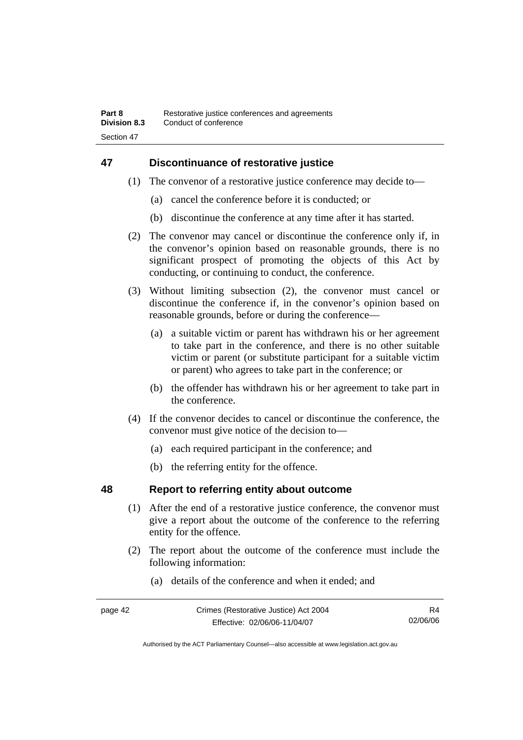# **47 Discontinuance of restorative justice**

- (1) The convenor of a restorative justice conference may decide to—
	- (a) cancel the conference before it is conducted; or
	- (b) discontinue the conference at any time after it has started.
- (2) The convenor may cancel or discontinue the conference only if, in the convenor's opinion based on reasonable grounds, there is no significant prospect of promoting the objects of this Act by conducting, or continuing to conduct, the conference.
- (3) Without limiting subsection (2), the convenor must cancel or discontinue the conference if, in the convenor's opinion based on reasonable grounds, before or during the conference—
	- (a) a suitable victim or parent has withdrawn his or her agreement to take part in the conference, and there is no other suitable victim or parent (or substitute participant for a suitable victim or parent) who agrees to take part in the conference; or
	- (b) the offender has withdrawn his or her agreement to take part in the conference.
- (4) If the convenor decides to cancel or discontinue the conference, the convenor must give notice of the decision to—
	- (a) each required participant in the conference; and
	- (b) the referring entity for the offence.

# **48 Report to referring entity about outcome**

- (1) After the end of a restorative justice conference, the convenor must give a report about the outcome of the conference to the referring entity for the offence.
- (2) The report about the outcome of the conference must include the following information:
	- (a) details of the conference and when it ended; and

| page 42 | Crimes (Restorative Justice) Act 2004 | R4       |
|---------|---------------------------------------|----------|
|         | Effective: 02/06/06-11/04/07          | 02/06/06 |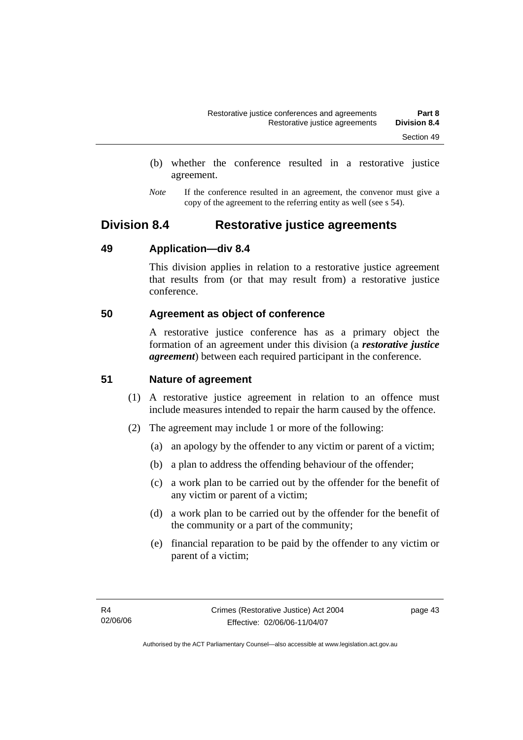- (b) whether the conference resulted in a restorative justice agreement.
- *Note* If the conference resulted in an agreement, the convenor must give a copy of the agreement to the referring entity as well (see s 54).

# **Division 8.4 Restorative justice agreements**

# **49 Application—div 8.4**

This division applies in relation to a restorative justice agreement that results from (or that may result from) a restorative justice conference.

# **50 Agreement as object of conference**

A restorative justice conference has as a primary object the formation of an agreement under this division (a *restorative justice agreement*) between each required participant in the conference.

# **51 Nature of agreement**

- (1) A restorative justice agreement in relation to an offence must include measures intended to repair the harm caused by the offence.
- (2) The agreement may include 1 or more of the following:
	- (a) an apology by the offender to any victim or parent of a victim;
	- (b) a plan to address the offending behaviour of the offender;
	- (c) a work plan to be carried out by the offender for the benefit of any victim or parent of a victim;
	- (d) a work plan to be carried out by the offender for the benefit of the community or a part of the community;
	- (e) financial reparation to be paid by the offender to any victim or parent of a victim;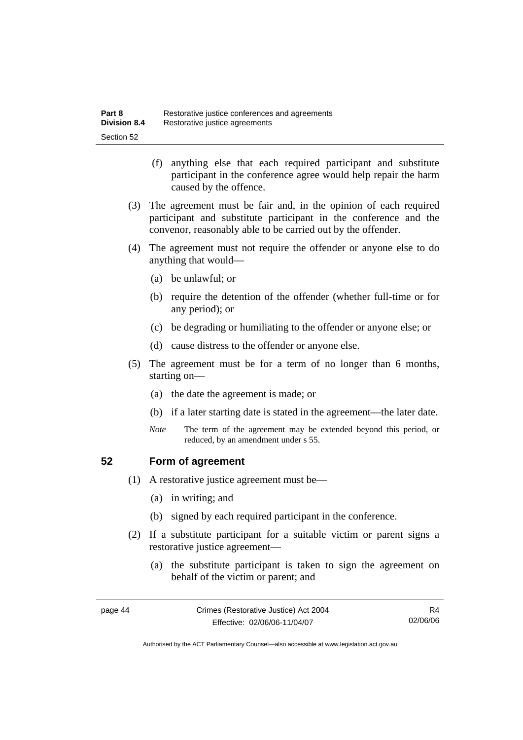- (f) anything else that each required participant and substitute participant in the conference agree would help repair the harm caused by the offence.
- (3) The agreement must be fair and, in the opinion of each required participant and substitute participant in the conference and the convenor, reasonably able to be carried out by the offender.
- (4) The agreement must not require the offender or anyone else to do anything that would—
	- (a) be unlawful; or
	- (b) require the detention of the offender (whether full-time or for any period); or
	- (c) be degrading or humiliating to the offender or anyone else; or
	- (d) cause distress to the offender or anyone else.
- (5) The agreement must be for a term of no longer than 6 months, starting on—
	- (a) the date the agreement is made; or
	- (b) if a later starting date is stated in the agreement—the later date.
	- *Note* The term of the agreement may be extended beyond this period, or reduced, by an amendment under s 55.

# **52 Form of agreement**

- (1) A restorative justice agreement must be—
	- (a) in writing; and
	- (b) signed by each required participant in the conference.
- (2) If a substitute participant for a suitable victim or parent signs a restorative justice agreement—
	- (a) the substitute participant is taken to sign the agreement on behalf of the victim or parent; and

page 44 Crimes (Restorative Justice) Act 2004 Effective: 02/06/06-11/04/07

Authorised by the ACT Parliamentary Counsel—also accessible at www.legislation.act.gov.au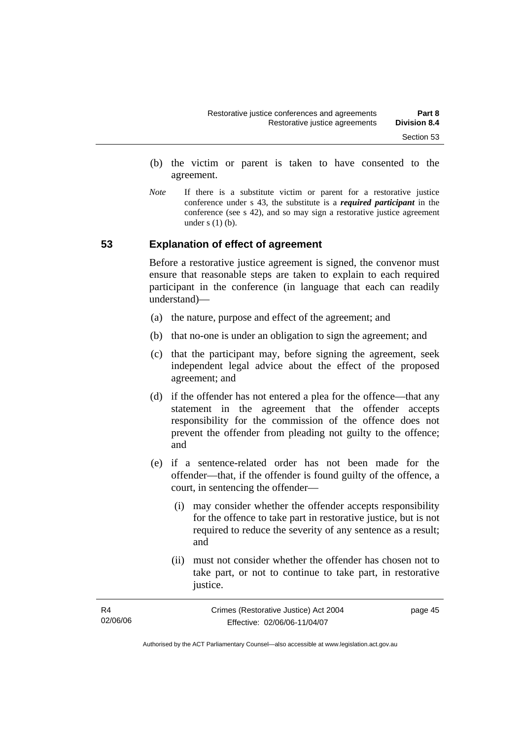- (b) the victim or parent is taken to have consented to the agreement.
- *Note* If there is a substitute victim or parent for a restorative justice conference under s 43, the substitute is a *required participant* in the conference (see s 42), and so may sign a restorative justice agreement under  $s(1)(b)$ .

## **53 Explanation of effect of agreement**

Before a restorative justice agreement is signed, the convenor must ensure that reasonable steps are taken to explain to each required participant in the conference (in language that each can readily understand)—

- (a) the nature, purpose and effect of the agreement; and
- (b) that no-one is under an obligation to sign the agreement; and
- (c) that the participant may, before signing the agreement, seek independent legal advice about the effect of the proposed agreement; and
- (d) if the offender has not entered a plea for the offence—that any statement in the agreement that the offender accepts responsibility for the commission of the offence does not prevent the offender from pleading not guilty to the offence; and
- (e) if a sentence-related order has not been made for the offender—that, if the offender is found guilty of the offence, a court, in sentencing the offender—
	- (i) may consider whether the offender accepts responsibility for the offence to take part in restorative justice, but is not required to reduce the severity of any sentence as a result; and
	- (ii) must not consider whether the offender has chosen not to take part, or not to continue to take part, in restorative justice.

| R4       | Crimes (Restorative Justice) Act 2004 | page 45 |
|----------|---------------------------------------|---------|
| 02/06/06 | Effective: 02/06/06-11/04/07          |         |
|          |                                       |         |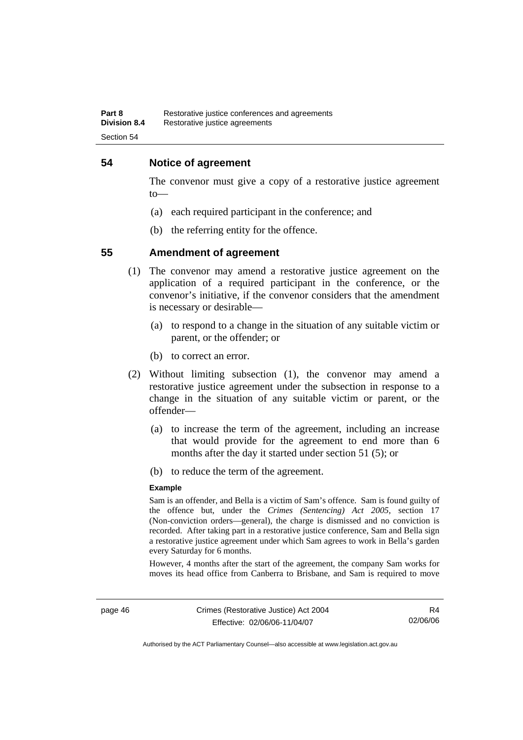## **54 Notice of agreement**

The convenor must give a copy of a restorative justice agreement to—

- (a) each required participant in the conference; and
- (b) the referring entity for the offence.

#### **55 Amendment of agreement**

- (1) The convenor may amend a restorative justice agreement on the application of a required participant in the conference, or the convenor's initiative, if the convenor considers that the amendment is necessary or desirable—
	- (a) to respond to a change in the situation of any suitable victim or parent, or the offender; or
	- (b) to correct an error.
- (2) Without limiting subsection (1), the convenor may amend a restorative justice agreement under the subsection in response to a change in the situation of any suitable victim or parent, or the offender—
	- (a) to increase the term of the agreement, including an increase that would provide for the agreement to end more than 6 months after the day it started under section 51 (5); or
	- (b) to reduce the term of the agreement.

#### **Example**

Sam is an offender, and Bella is a victim of Sam's offence. Sam is found guilty of the offence but, under the *Crimes (Sentencing) Act 2005*, section 17 (Non-conviction orders—general), the charge is dismissed and no conviction is recorded. After taking part in a restorative justice conference, Sam and Bella sign a restorative justice agreement under which Sam agrees to work in Bella's garden every Saturday for 6 months.

However, 4 months after the start of the agreement, the company Sam works for moves its head office from Canberra to Brisbane, and Sam is required to move

Authorised by the ACT Parliamentary Counsel—also accessible at www.legislation.act.gov.au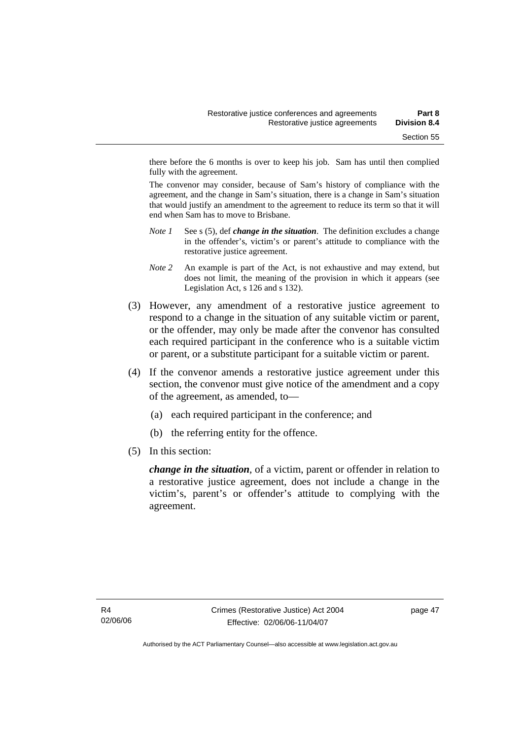there before the 6 months is over to keep his job. Sam has until then complied fully with the agreement.

The convenor may consider, because of Sam's history of compliance with the agreement, and the change in Sam's situation, there is a change in Sam's situation that would justify an amendment to the agreement to reduce its term so that it will end when Sam has to move to Brisbane.

- *Note 1* See s (5), def *change in the situation*. The definition excludes a change in the offender's, victim's or parent's attitude to compliance with the restorative justice agreement.
- *Note 2* An example is part of the Act, is not exhaustive and may extend, but does not limit, the meaning of the provision in which it appears (see Legislation Act, s 126 and s 132).
- (3) However, any amendment of a restorative justice agreement to respond to a change in the situation of any suitable victim or parent, or the offender, may only be made after the convenor has consulted each required participant in the conference who is a suitable victim or parent, or a substitute participant for a suitable victim or parent.
- (4) If the convenor amends a restorative justice agreement under this section, the convenor must give notice of the amendment and a copy of the agreement, as amended, to—
	- (a) each required participant in the conference; and
	- (b) the referring entity for the offence.
- (5) In this section:

*change in the situation*, of a victim, parent or offender in relation to a restorative justice agreement, does not include a change in the victim's, parent's or offender's attitude to complying with the agreement.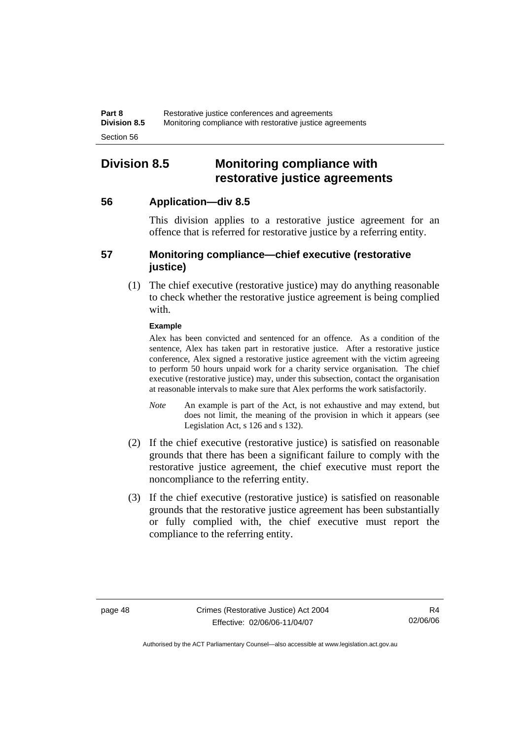# **Division 8.5 Monitoring compliance with restorative justice agreements**

# **56 Application—div 8.5**

This division applies to a restorative justice agreement for an offence that is referred for restorative justice by a referring entity.

# **57 Monitoring compliance—chief executive (restorative justice)**

 (1) The chief executive (restorative justice) may do anything reasonable to check whether the restorative justice agreement is being complied with.

#### **Example**

Alex has been convicted and sentenced for an offence. As a condition of the sentence, Alex has taken part in restorative justice. After a restorative justice conference, Alex signed a restorative justice agreement with the victim agreeing to perform 50 hours unpaid work for a charity service organisation. The chief executive (restorative justice) may, under this subsection, contact the organisation at reasonable intervals to make sure that Alex performs the work satisfactorily.

- *Note* An example is part of the Act, is not exhaustive and may extend, but does not limit, the meaning of the provision in which it appears (see Legislation Act, s 126 and s 132).
- (2) If the chief executive (restorative justice) is satisfied on reasonable grounds that there has been a significant failure to comply with the restorative justice agreement, the chief executive must report the noncompliance to the referring entity.
- (3) If the chief executive (restorative justice) is satisfied on reasonable grounds that the restorative justice agreement has been substantially or fully complied with, the chief executive must report the compliance to the referring entity.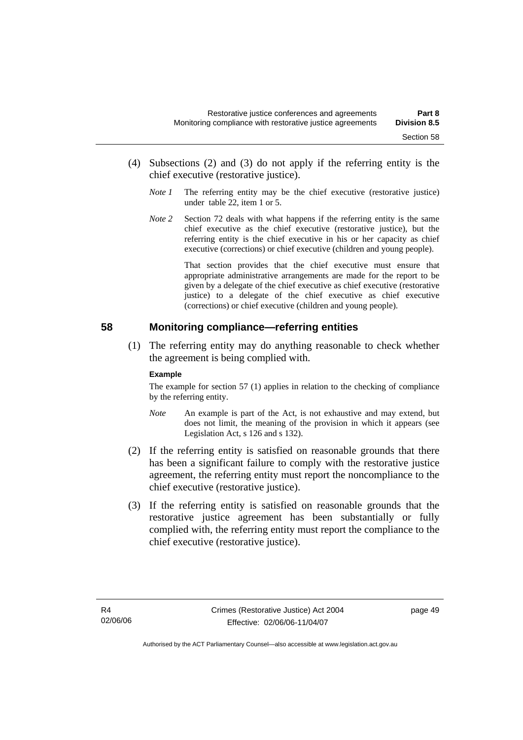- (4) Subsections (2) and (3) do not apply if the referring entity is the chief executive (restorative justice).
	- *Note 1* The referring entity may be the chief executive (restorative justice) under table 22, item 1 or 5.
	- *Note* 2 Section 72 deals with what happens if the referring entity is the same chief executive as the chief executive (restorative justice), but the referring entity is the chief executive in his or her capacity as chief executive (corrections) or chief executive (children and young people).

 That section provides that the chief executive must ensure that appropriate administrative arrangements are made for the report to be given by a delegate of the chief executive as chief executive (restorative justice) to a delegate of the chief executive as chief executive (corrections) or chief executive (children and young people).

## **58 Monitoring compliance—referring entities**

 (1) The referring entity may do anything reasonable to check whether the agreement is being complied with.

#### **Example**

The example for section 57 (1) applies in relation to the checking of compliance by the referring entity.

- *Note* An example is part of the Act, is not exhaustive and may extend, but does not limit, the meaning of the provision in which it appears (see Legislation Act, s 126 and s 132).
- (2) If the referring entity is satisfied on reasonable grounds that there has been a significant failure to comply with the restorative justice agreement, the referring entity must report the noncompliance to the chief executive (restorative justice).
- (3) If the referring entity is satisfied on reasonable grounds that the restorative justice agreement has been substantially or fully complied with, the referring entity must report the compliance to the chief executive (restorative justice).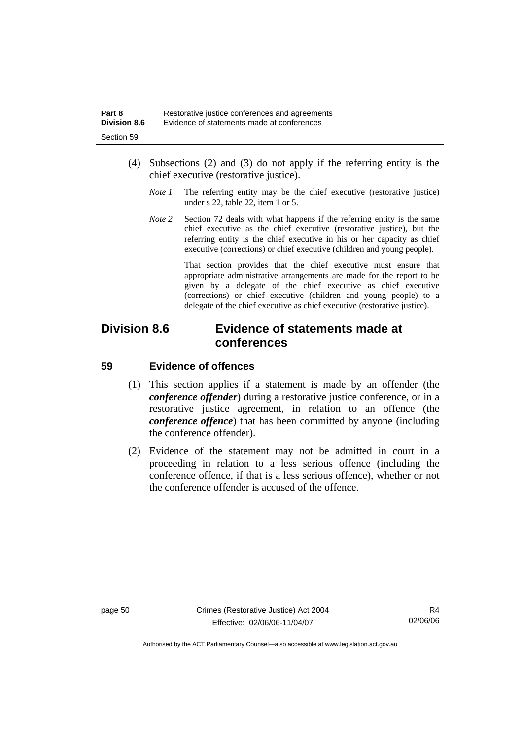- (4) Subsections (2) and (3) do not apply if the referring entity is the chief executive (restorative justice).
	- *Note 1* The referring entity may be the chief executive (restorative justice) under s 22, table 22, item 1 or 5.
	- *Note 2* Section 72 deals with what happens if the referring entity is the same chief executive as the chief executive (restorative justice), but the referring entity is the chief executive in his or her capacity as chief executive (corrections) or chief executive (children and young people).

 That section provides that the chief executive must ensure that appropriate administrative arrangements are made for the report to be given by a delegate of the chief executive as chief executive (corrections) or chief executive (children and young people) to a delegate of the chief executive as chief executive (restorative justice).

# **Division 8.6 Evidence of statements made at conferences**

# **59 Evidence of offences**

- (1) This section applies if a statement is made by an offender (the *conference offender*) during a restorative justice conference, or in a restorative justice agreement, in relation to an offence (the *conference offence*) that has been committed by anyone (including the conference offender).
- (2) Evidence of the statement may not be admitted in court in a proceeding in relation to a less serious offence (including the conference offence, if that is a less serious offence), whether or not the conference offender is accused of the offence.

page 50 Crimes (Restorative Justice) Act 2004 Effective: 02/06/06-11/04/07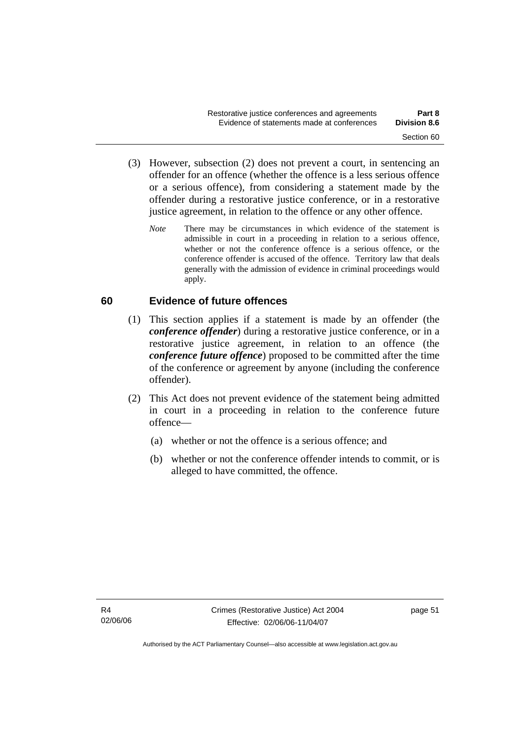- (3) However, subsection (2) does not prevent a court, in sentencing an offender for an offence (whether the offence is a less serious offence or a serious offence), from considering a statement made by the offender during a restorative justice conference, or in a restorative justice agreement, in relation to the offence or any other offence.
	- *Note* There may be circumstances in which evidence of the statement is admissible in court in a proceeding in relation to a serious offence, whether or not the conference offence is a serious offence, or the conference offender is accused of the offence. Territory law that deals generally with the admission of evidence in criminal proceedings would apply.

# **60 Evidence of future offences**

- (1) This section applies if a statement is made by an offender (the *conference offender*) during a restorative justice conference, or in a restorative justice agreement, in relation to an offence (the *conference future offence*) proposed to be committed after the time of the conference or agreement by anyone (including the conference offender).
- (2) This Act does not prevent evidence of the statement being admitted in court in a proceeding in relation to the conference future offence—
	- (a) whether or not the offence is a serious offence; and
	- (b) whether or not the conference offender intends to commit, or is alleged to have committed, the offence.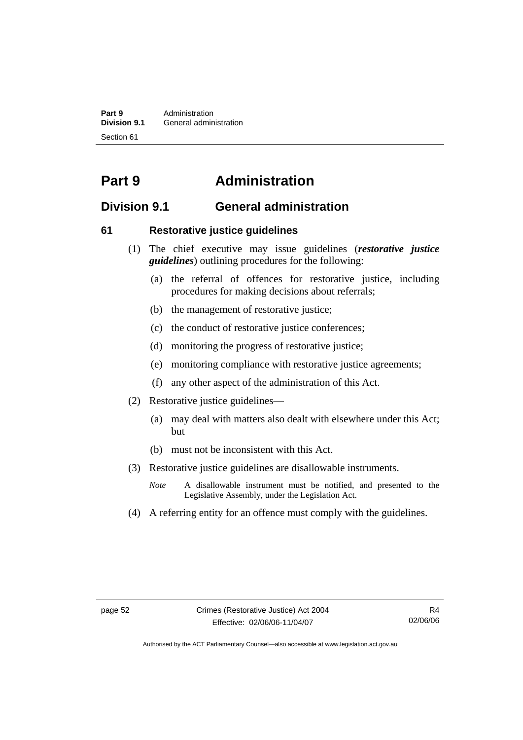**Part 9 Administration**<br>**Division 9.1 General adminity General administration** Section 61

# **Part 9 Administration**

# **Division 9.1 General administration**

# **61 Restorative justice guidelines**

- (1) The chief executive may issue guidelines (*restorative justice guidelines*) outlining procedures for the following:
	- (a) the referral of offences for restorative justice, including procedures for making decisions about referrals;
	- (b) the management of restorative justice;
	- (c) the conduct of restorative justice conferences;
	- (d) monitoring the progress of restorative justice;
	- (e) monitoring compliance with restorative justice agreements;
	- (f) any other aspect of the administration of this Act.
- (2) Restorative justice guidelines—
	- (a) may deal with matters also dealt with elsewhere under this Act; but
	- (b) must not be inconsistent with this Act.
- (3) Restorative justice guidelines are disallowable instruments.
	- *Note* A disallowable instrument must be notified, and presented to the Legislative Assembly, under the Legislation Act.
- (4) A referring entity for an offence must comply with the guidelines.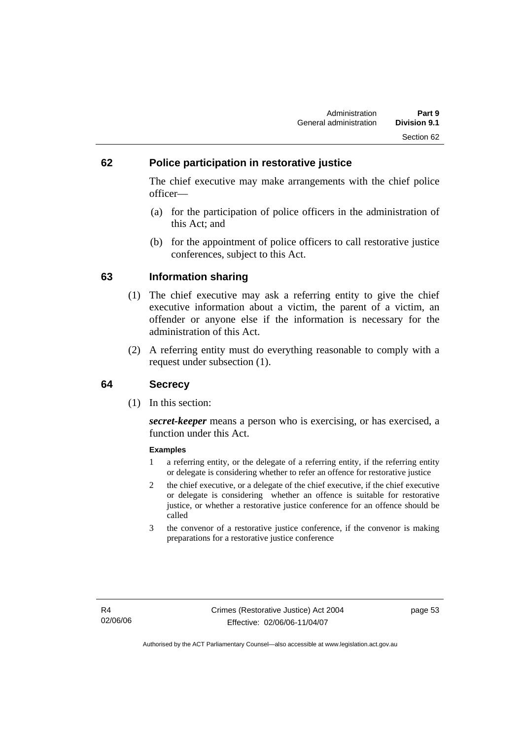# **62 Police participation in restorative justice**

The chief executive may make arrangements with the chief police officer—

- (a) for the participation of police officers in the administration of this Act; and
- (b) for the appointment of police officers to call restorative justice conferences, subject to this Act.

## **63 Information sharing**

- (1) The chief executive may ask a referring entity to give the chief executive information about a victim, the parent of a victim, an offender or anyone else if the information is necessary for the administration of this Act.
- (2) A referring entity must do everything reasonable to comply with a request under subsection (1).

# **64 Secrecy**

(1) In this section:

*secret-keeper* means a person who is exercising, or has exercised, a function under this Act.

#### **Examples**

- 1 a referring entity, or the delegate of a referring entity, if the referring entity or delegate is considering whether to refer an offence for restorative justice
- 2 the chief executive, or a delegate of the chief executive, if the chief executive or delegate is considering whether an offence is suitable for restorative justice, or whether a restorative justice conference for an offence should be called
- 3 the convenor of a restorative justice conference, if the convenor is making preparations for a restorative justice conference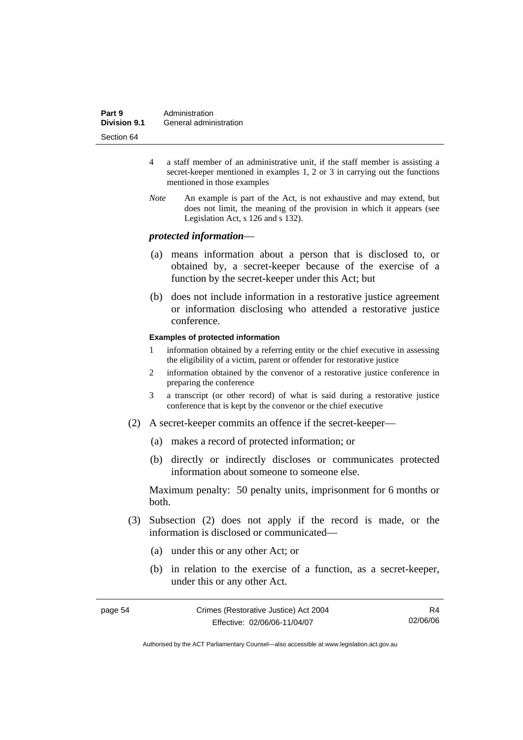| Part 9              | Administration         |
|---------------------|------------------------|
| <b>Division 9.1</b> | General administration |
| Section 64          |                        |

- 4 a staff member of an administrative unit, if the staff member is assisting a secret-keeper mentioned in examples 1, 2 or 3 in carrying out the functions mentioned in those examples
- *Note* An example is part of the Act, is not exhaustive and may extend, but does not limit, the meaning of the provision in which it appears (see Legislation Act, s 126 and s 132).

#### *protected information*—

- (a) means information about a person that is disclosed to, or obtained by, a secret-keeper because of the exercise of a function by the secret-keeper under this Act; but
- (b) does not include information in a restorative justice agreement or information disclosing who attended a restorative justice conference.

#### **Examples of protected information**

- 1 information obtained by a referring entity or the chief executive in assessing the eligibility of a victim, parent or offender for restorative justice
- 2 information obtained by the convenor of a restorative justice conference in preparing the conference
- 3 a transcript (or other record) of what is said during a restorative justice conference that is kept by the convenor or the chief executive
- (2) A secret-keeper commits an offence if the secret-keeper—
	- (a) makes a record of protected information; or
	- (b) directly or indirectly discloses or communicates protected information about someone to someone else.

Maximum penalty: 50 penalty units, imprisonment for 6 months or both.

- (3) Subsection (2) does not apply if the record is made, or the information is disclosed or communicated—
	- (a) under this or any other Act; or
	- (b) in relation to the exercise of a function, as a secret-keeper, under this or any other Act.

| page 54 | Crimes (Restorative Justice) Act 2004 | R4       |
|---------|---------------------------------------|----------|
|         | Effective: 02/06/06-11/04/07          | 02/06/06 |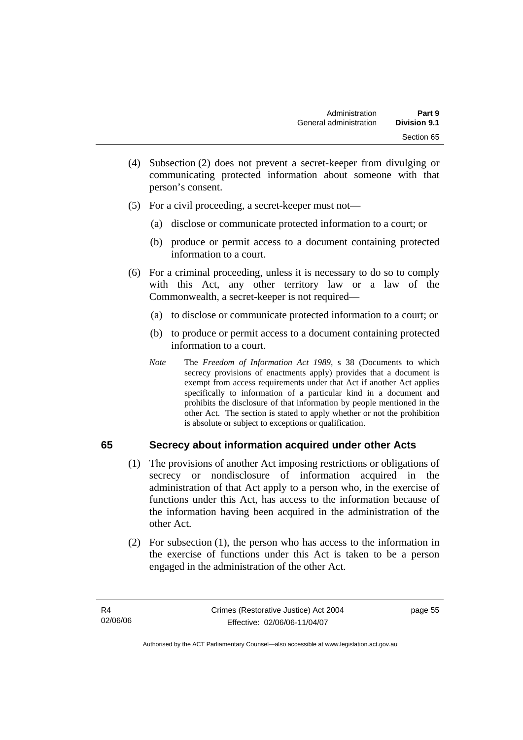- (4) Subsection (2) does not prevent a secret-keeper from divulging or communicating protected information about someone with that person's consent.
- (5) For a civil proceeding, a secret-keeper must not—
	- (a) disclose or communicate protected information to a court; or
	- (b) produce or permit access to a document containing protected information to a court.
- (6) For a criminal proceeding, unless it is necessary to do so to comply with this Act, any other territory law or a law of the Commonwealth, a secret-keeper is not required—
	- (a) to disclose or communicate protected information to a court; or
	- (b) to produce or permit access to a document containing protected information to a court.
	- *Note* The *Freedom of Information Act 1989*, s 38 (Documents to which secrecy provisions of enactments apply) provides that a document is exempt from access requirements under that Act if another Act applies specifically to information of a particular kind in a document and prohibits the disclosure of that information by people mentioned in the other Act. The section is stated to apply whether or not the prohibition is absolute or subject to exceptions or qualification.

# **65 Secrecy about information acquired under other Acts**

- (1) The provisions of another Act imposing restrictions or obligations of secrecy or nondisclosure of information acquired in the administration of that Act apply to a person who, in the exercise of functions under this Act, has access to the information because of the information having been acquired in the administration of the other Act.
- (2) For subsection (1), the person who has access to the information in the exercise of functions under this Act is taken to be a person engaged in the administration of the other Act.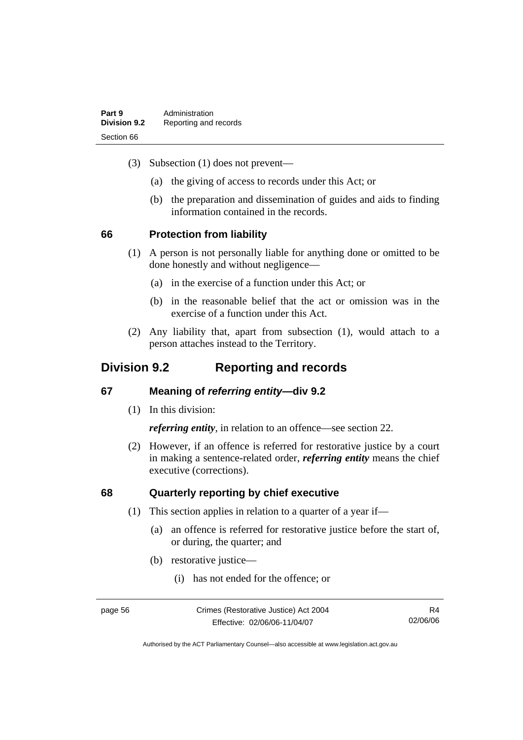| Part 9<br><b>Division 9.2</b> | Administration<br>Reporting and records |
|-------------------------------|-----------------------------------------|
|                               |                                         |
| Section 66                    |                                         |

- (3) Subsection (1) does not prevent—
	- (a) the giving of access to records under this Act; or
	- (b) the preparation and dissemination of guides and aids to finding information contained in the records.

#### **66 Protection from liability**

- (1) A person is not personally liable for anything done or omitted to be done honestly and without negligence—
	- (a) in the exercise of a function under this Act; or
	- (b) in the reasonable belief that the act or omission was in the exercise of a function under this Act.
- (2) Any liability that, apart from subsection (1), would attach to a person attaches instead to the Territory.

# **Division 9.2 Reporting and records**

## **67 Meaning of** *referring entity—***div 9.2**

(1) In this division:

*referring entity*, in relation to an offence—see section 22.

 (2) However, if an offence is referred for restorative justice by a court in making a sentence-related order, *referring entity* means the chief executive (corrections).

### **68 Quarterly reporting by chief executive**

- (1) This section applies in relation to a quarter of a year if—
	- (a) an offence is referred for restorative justice before the start of, or during, the quarter; and
	- (b) restorative justice—
		- (i) has not ended for the offence; or

page 56 Crimes (Restorative Justice) Act 2004 Effective: 02/06/06-11/04/07

R4 02/06/06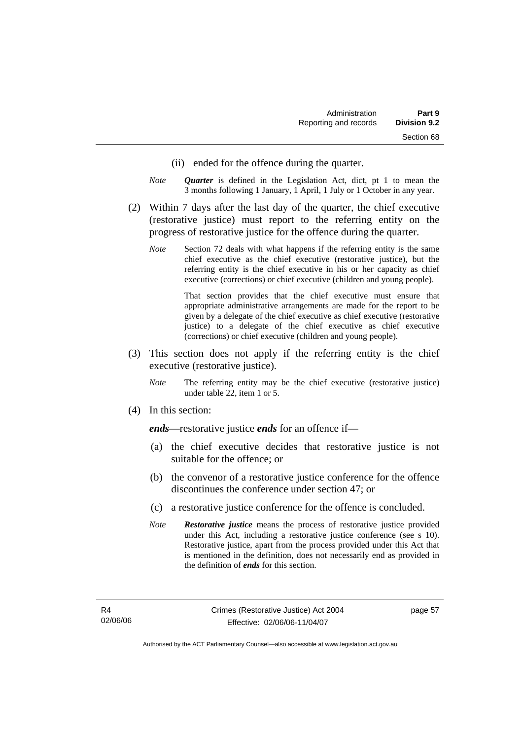- (ii) ended for the offence during the quarter.
- *Note Quarter* is defined in the Legislation Act, dict, pt 1 to mean the 3 months following 1 January, 1 April, 1 July or 1 October in any year.
- (2) Within 7 days after the last day of the quarter, the chief executive (restorative justice) must report to the referring entity on the progress of restorative justice for the offence during the quarter.
	- *Note* Section 72 deals with what happens if the referring entity is the same chief executive as the chief executive (restorative justice), but the referring entity is the chief executive in his or her capacity as chief executive (corrections) or chief executive (children and young people).

 That section provides that the chief executive must ensure that appropriate administrative arrangements are made for the report to be given by a delegate of the chief executive as chief executive (restorative justice) to a delegate of the chief executive as chief executive (corrections) or chief executive (children and young people).

- (3) This section does not apply if the referring entity is the chief executive (restorative justice).
	- *Note* The referring entity may be the chief executive (restorative justice) under table 22, item 1 or 5.
- (4) In this section:

*ends*—restorative justice *ends* for an offence if—

- (a) the chief executive decides that restorative justice is not suitable for the offence; or
- (b) the convenor of a restorative justice conference for the offence discontinues the conference under section 47; or
- (c) a restorative justice conference for the offence is concluded.
- *Note Restorative justice* means the process of restorative justice provided under this Act, including a restorative justice conference (see s 10). Restorative justice, apart from the process provided under this Act that is mentioned in the definition, does not necessarily end as provided in the definition of *ends* for this section.

page 57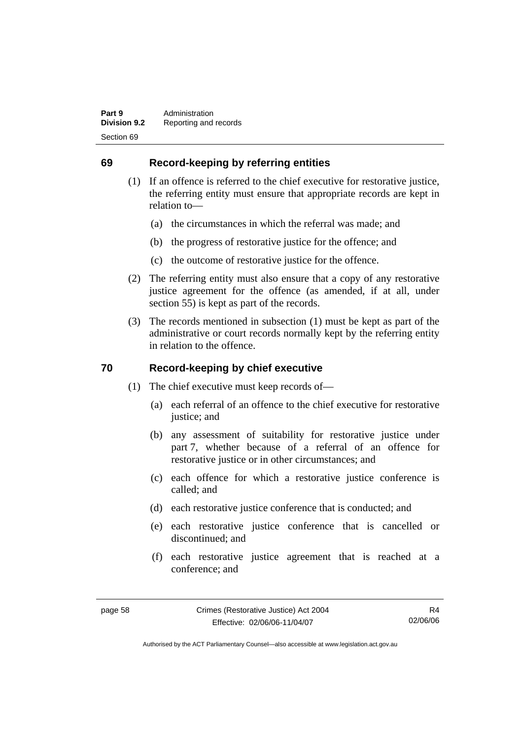# **69 Record-keeping by referring entities**

- (1) If an offence is referred to the chief executive for restorative justice, the referring entity must ensure that appropriate records are kept in relation to—
	- (a) the circumstances in which the referral was made; and
	- (b) the progress of restorative justice for the offence; and
	- (c) the outcome of restorative justice for the offence.
- (2) The referring entity must also ensure that a copy of any restorative justice agreement for the offence (as amended, if at all, under section 55) is kept as part of the records.
- (3) The records mentioned in subsection (1) must be kept as part of the administrative or court records normally kept by the referring entity in relation to the offence.

# **70 Record-keeping by chief executive**

- (1) The chief executive must keep records of—
	- (a) each referral of an offence to the chief executive for restorative justice; and
	- (b) any assessment of suitability for restorative justice under part 7, whether because of a referral of an offence for restorative justice or in other circumstances; and
	- (c) each offence for which a restorative justice conference is called; and
	- (d) each restorative justice conference that is conducted; and
	- (e) each restorative justice conference that is cancelled or discontinued; and
	- (f) each restorative justice agreement that is reached at a conference; and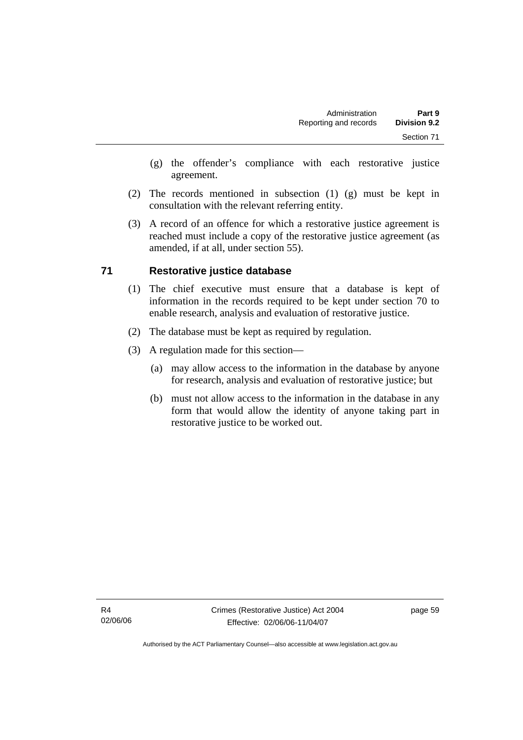- (g) the offender's compliance with each restorative justice agreement.
- (2) The records mentioned in subsection (1) (g) must be kept in consultation with the relevant referring entity.
- (3) A record of an offence for which a restorative justice agreement is reached must include a copy of the restorative justice agreement (as amended, if at all, under section 55).

# **71 Restorative justice database**

- (1) The chief executive must ensure that a database is kept of information in the records required to be kept under section 70 to enable research, analysis and evaluation of restorative justice.
- (2) The database must be kept as required by regulation.
- (3) A regulation made for this section—
	- (a) may allow access to the information in the database by anyone for research, analysis and evaluation of restorative justice; but
	- (b) must not allow access to the information in the database in any form that would allow the identity of anyone taking part in restorative justice to be worked out.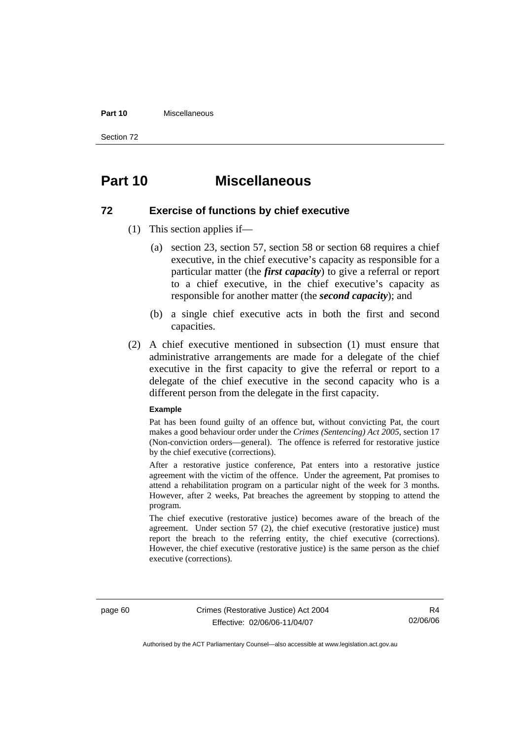#### **Part 10** Miscellaneous

Section 72

# **Part 10 Miscellaneous**

# **72 Exercise of functions by chief executive**

- (1) This section applies if—
	- (a) section 23, section 57, section 58 or section 68 requires a chief executive, in the chief executive's capacity as responsible for a particular matter (the *first capacity*) to give a referral or report to a chief executive, in the chief executive's capacity as responsible for another matter (the *second capacity*); and
	- (b) a single chief executive acts in both the first and second capacities.
- (2) A chief executive mentioned in subsection (1) must ensure that administrative arrangements are made for a delegate of the chief executive in the first capacity to give the referral or report to a delegate of the chief executive in the second capacity who is a different person from the delegate in the first capacity.

#### **Example**

Pat has been found guilty of an offence but, without convicting Pat, the court makes a good behaviour order under the *Crimes (Sentencing) Act 2005*, section 17 (Non-conviction orders—general). The offence is referred for restorative justice by the chief executive (corrections).

After a restorative justice conference, Pat enters into a restorative justice agreement with the victim of the offence. Under the agreement, Pat promises to attend a rehabilitation program on a particular night of the week for 3 months. However, after 2 weeks, Pat breaches the agreement by stopping to attend the program.

The chief executive (restorative justice) becomes aware of the breach of the agreement. Under section 57 (2), the chief executive (restorative justice) must report the breach to the referring entity, the chief executive (corrections). However, the chief executive (restorative justice) is the same person as the chief executive (corrections).

page 60 Crimes (Restorative Justice) Act 2004 Effective: 02/06/06-11/04/07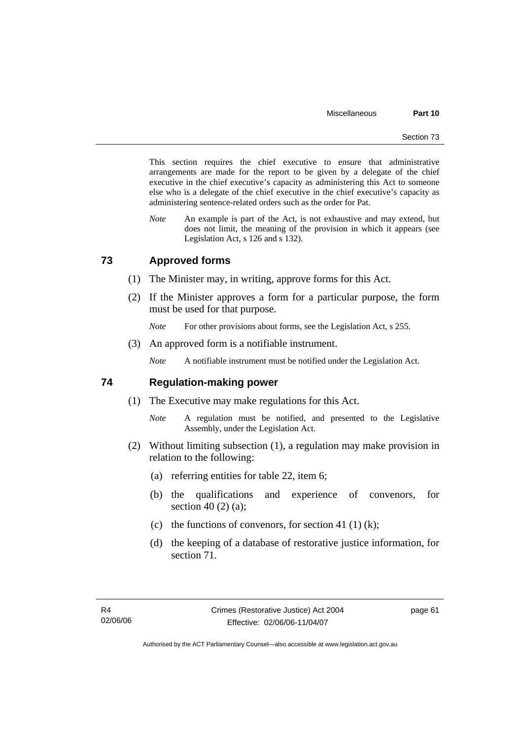This section requires the chief executive to ensure that administrative arrangements are made for the report to be given by a delegate of the chief executive in the chief executive's capacity as administering this Act to someone else who is a delegate of the chief executive in the chief executive's capacity as administering sentence-related orders such as the order for Pat.

*Note* An example is part of the Act, is not exhaustive and may extend, but does not limit, the meaning of the provision in which it appears (see Legislation Act, s 126 and s 132).

# **73 Approved forms**

- (1) The Minister may, in writing, approve forms for this Act.
- (2) If the Minister approves a form for a particular purpose, the form must be used for that purpose.

*Note* For other provisions about forms, see the Legislation Act, s 255.

(3) An approved form is a notifiable instrument.

*Note* A notifiable instrument must be notified under the Legislation Act.

#### **74 Regulation-making power**

- (1) The Executive may make regulations for this Act.
	- *Note* A regulation must be notified, and presented to the Legislative Assembly, under the Legislation Act.
- (2) Without limiting subsection (1), a regulation may make provision in relation to the following:
	- (a) referring entities for table 22, item 6;
	- (b) the qualifications and experience of convenors, for section 40 (2) (a);
	- (c) the functions of convenors, for section 41 (1) (k);
	- (d) the keeping of a database of restorative justice information, for section 71.

page 61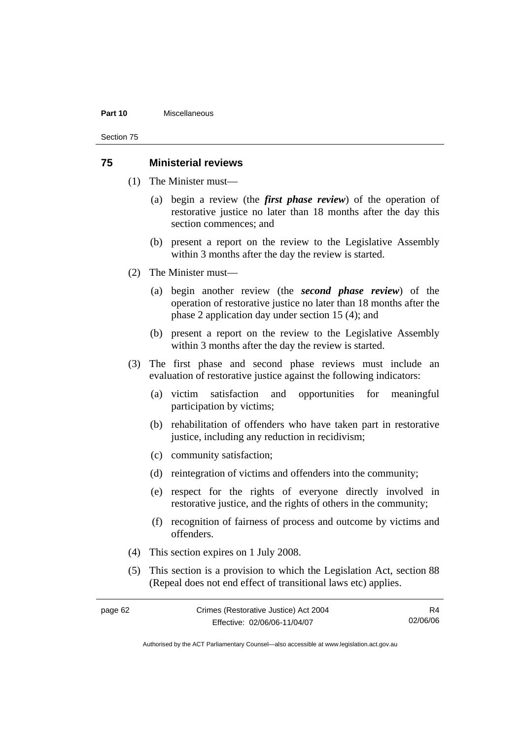#### **Part 10** Miscellaneous

Section 75

## **75 Ministerial reviews**

- (1) The Minister must—
	- (a) begin a review (the *first phase review*) of the operation of restorative justice no later than 18 months after the day this section commences; and
	- (b) present a report on the review to the Legislative Assembly within 3 months after the day the review is started.
- (2) The Minister must—
	- (a) begin another review (the *second phase review*) of the operation of restorative justice no later than 18 months after the phase 2 application day under section 15 (4); and
	- (b) present a report on the review to the Legislative Assembly within 3 months after the day the review is started.
- (3) The first phase and second phase reviews must include an evaluation of restorative justice against the following indicators:
	- (a) victim satisfaction and opportunities for meaningful participation by victims;
	- (b) rehabilitation of offenders who have taken part in restorative justice, including any reduction in recidivism;
	- (c) community satisfaction;
	- (d) reintegration of victims and offenders into the community;
	- (e) respect for the rights of everyone directly involved in restorative justice, and the rights of others in the community;
	- (f) recognition of fairness of process and outcome by victims and offenders.
- (4) This section expires on 1 July 2008.
- (5) This section is a provision to which the Legislation Act, section 88 (Repeal does not end effect of transitional laws etc) applies.

| page 62 | Crimes (Restorative Justice) Act 2004 | R4       |
|---------|---------------------------------------|----------|
|         | Effective: 02/06/06-11/04/07          | 02/06/06 |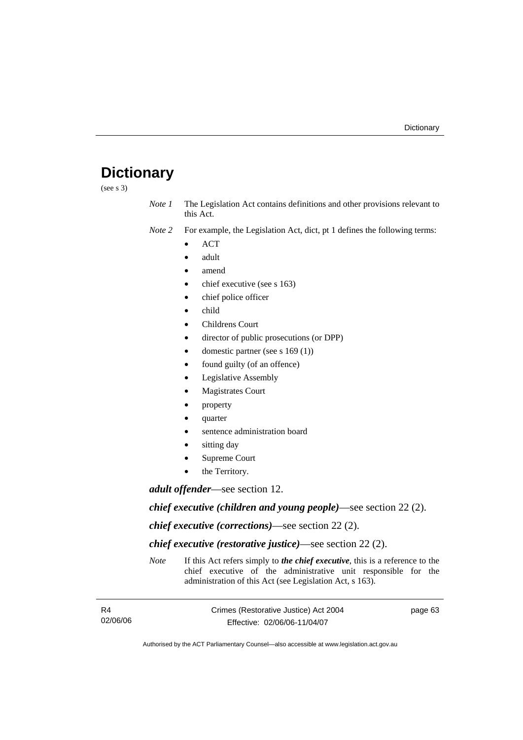# **Dictionary**

(see s 3)

*Note 1* The Legislation Act contains definitions and other provisions relevant to this Act.

*Note 2* For example, the Legislation Act, dict, pt 1 defines the following terms:

- ACT
- adult
- amend
- chief executive (see s 163)
- chief police officer
- child
- Childrens Court
- director of public prosecutions (or DPP)
- domestic partner (see s 169 (1))
- found guilty (of an offence)
- Legislative Assembly
- **Magistrates Court**
- property
- quarter
- sentence administration board
- sitting day
- Supreme Court
- the Territory.

*adult offender*—see section 12.

*chief executive (children and young people)*—see section 22 (2).

*chief executive (corrections)*—see section 22 (2).

*chief executive (restorative justice)*—see section 22 (2).

*Note* If this Act refers simply to *the chief executive*, this is a reference to the chief executive of the administrative unit responsible for the administration of this Act (see Legislation Act, s 163).

| R4       | Crimes (Restorative Justice) Act 2004 | page 63 |
|----------|---------------------------------------|---------|
| 02/06/06 | Effective: 02/06/06-11/04/07          |         |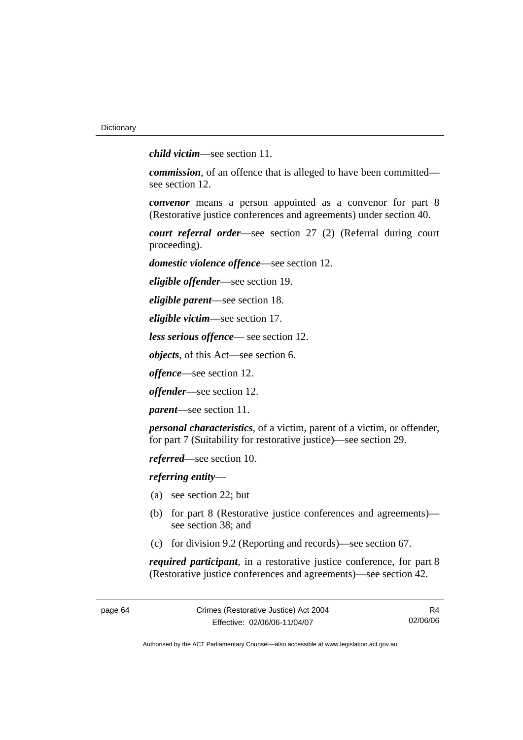*child victim*—see section 11.

*commission*, of an offence that is alleged to have been committed see section 12.

*convenor* means a person appointed as a convenor for part 8 (Restorative justice conferences and agreements) under section 40.

*court referral order*—see section 27 (2) (Referral during court proceeding).

*domestic violence offence*—see section 12.

*eligible offender*—see section 19.

*eligible parent*—see section 18.

*eligible victim*—see section 17.

*less serious offence*— see section 12.

*objects*, of this Act—see section 6.

*offence*—see section 12.

*offender*—see section 12.

*parent*—see section 11.

*personal characteristics*, of a victim, parent of a victim, or offender, for part 7 (Suitability for restorative justice)—see section 29.

*referred*—see section 10.

*referring entity*—

- (a) see section 22; but
- (b) for part 8 (Restorative justice conferences and agreements) see section 38; and
- (c) for division 9.2 (Reporting and records)—see section 67.

*required participant*, in a restorative justice conference, for part 8 (Restorative justice conferences and agreements)—see section 42.

R4 02/06/06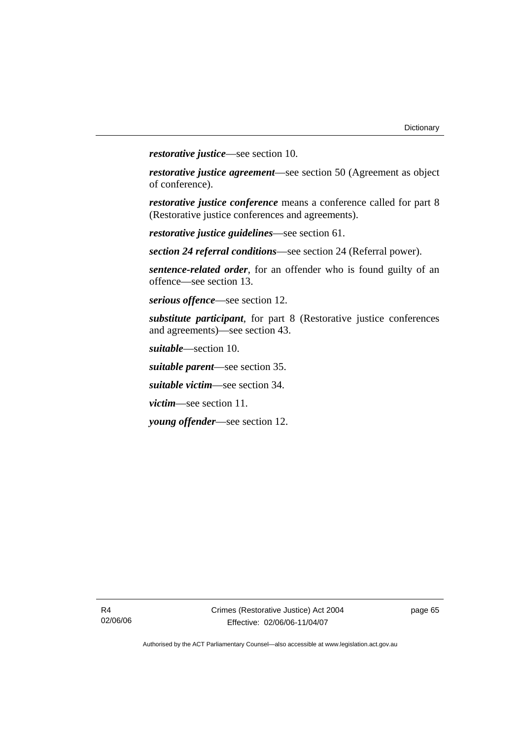*restorative justice*—see section 10.

*restorative justice agreement*—see section 50 (Agreement as object of conference).

*restorative justice conference* means a conference called for part 8 (Restorative justice conferences and agreements).

*restorative justice guidelines*—see section 61.

*section 24 referral conditions*—see section 24 (Referral power).

*sentence-related order*, for an offender who is found guilty of an offence—see section 13.

*serious offence*—see section 12.

*substitute participant*, for part 8 (Restorative justice conferences and agreements)—see section 43.

*suitable*—section 10.

*suitable parent*—see section 35.

*suitable victim*—see section 34.

*victim*—see section 11.

*young offender*—see section 12.

page 65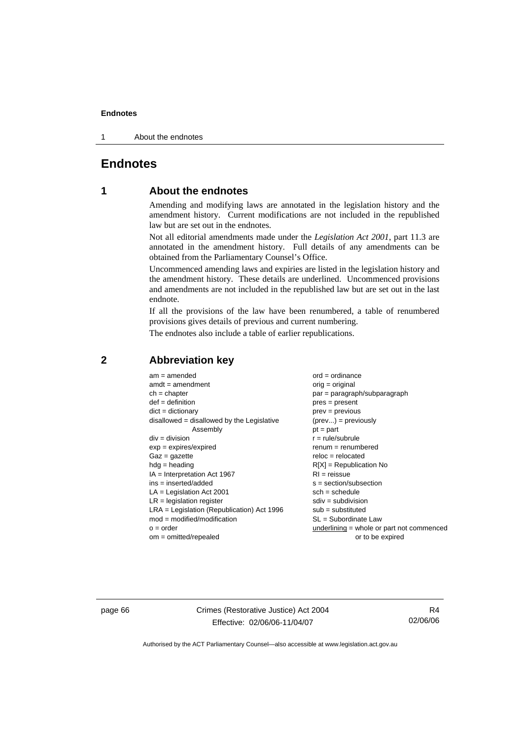1 About the endnotes

## **Endnotes**

## **1 About the endnotes**

Amending and modifying laws are annotated in the legislation history and the amendment history. Current modifications are not included in the republished law but are set out in the endnotes.

Not all editorial amendments made under the *Legislation Act 2001*, part 11.3 are annotated in the amendment history. Full details of any amendments can be obtained from the Parliamentary Counsel's Office.

Uncommenced amending laws and expiries are listed in the legislation history and the amendment history. These details are underlined. Uncommenced provisions and amendments are not included in the republished law but are set out in the last endnote.

If all the provisions of the law have been renumbered, a table of renumbered provisions gives details of previous and current numbering.

The endnotes also include a table of earlier republications.

| $am = amended$                               | $ord = ordinance$                         |  |  |
|----------------------------------------------|-------------------------------------------|--|--|
| $amdt = amendment$                           | $orig = original$                         |  |  |
| $ch = chapter$                               | par = paragraph/subparagraph              |  |  |
| $def = definition$                           | $pres = present$                          |  |  |
| $dict = dictionary$<br>$prev = previous$     |                                           |  |  |
| $disallowed = disallowed by the Legislative$ | $(\text{prev}) = \text{previously}$       |  |  |
| Assembly                                     | $pt = part$                               |  |  |
| $div = division$                             | $r = rule/subrule$                        |  |  |
| $exp = expires/expired$                      | $renum = renumbered$                      |  |  |
| $Gaz = gazette$                              | $reloc = relocated$                       |  |  |
| $hdg =$ heading                              | $R[X]$ = Republication No                 |  |  |
| $IA = Interpretation Act 1967$               | $RI = reissue$                            |  |  |
| $ins = inserted/added$                       | $s = section/subsection$                  |  |  |
| $LA =$ Legislation Act 2001                  | $sch = schedule$                          |  |  |
| $LR =$ legislation register                  | $sdiv = subdivision$                      |  |  |
| $LRA =$ Legislation (Republication) Act 1996 | $sub = substituted$                       |  |  |
| $mod = modified/modification$                | $SL = Subordinate$ Law                    |  |  |
| $o = order$                                  | underlining = whole or part not commenced |  |  |
| $om = omitted/repealed$                      | or to be expired                          |  |  |
|                                              |                                           |  |  |

## **2 Abbreviation key**

page 66 Crimes (Restorative Justice) Act 2004 Effective: 02/06/06-11/04/07

R4 02/06/06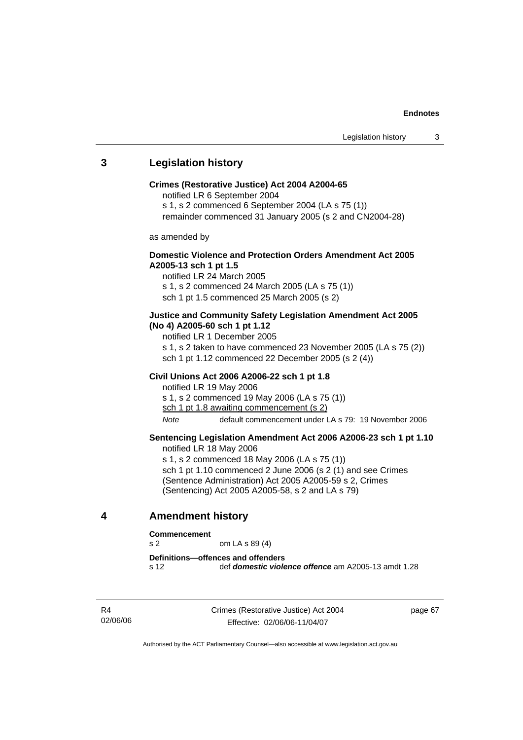## **3 Legislation history**

#### **Crimes (Restorative Justice) Act 2004 A2004-65**

notified LR 6 September 2004

s 1, s 2 commenced 6 September 2004 (LA s 75 (1))

remainder commenced 31 January 2005 (s 2 and CN2004-28)

as amended by

## **Domestic Violence and Protection Orders Amendment Act 2005 A2005-13 sch 1 pt 1.5**

notified LR 24 March 2005 s 1, s 2 commenced 24 March 2005 (LA s 75 (1)) sch 1 pt 1.5 commenced 25 March 2005 (s 2)

#### **Justice and Community Safety Legislation Amendment Act 2005 (No 4) A2005-60 sch 1 pt 1.12**

notified LR 1 December 2005 s 1, s 2 taken to have commenced 23 November 2005 (LA s 75 (2)) sch 1 pt 1.12 commenced 22 December 2005 (s 2 (4))

#### **Civil Unions Act 2006 A2006-22 sch 1 pt 1.8**

notified LR 19 May 2006 s 1, s 2 commenced 19 May 2006 (LA s 75 (1)) sch 1 pt 1.8 awaiting commencement (s 2) *Note* default commencement under LA s 79: 19 November 2006

## **Sentencing Legislation Amendment Act 2006 A2006-23 sch 1 pt 1.10**

notified LR 18 May 2006

s 1, s 2 commenced 18 May 2006 (LA s 75 (1)) sch 1 pt 1.10 commenced 2 June 2006 (s 2 (1) and see Crimes (Sentence Administration) Act 2005 A2005-59 s 2, Crimes (Sentencing) Act 2005 A2005-58, s 2 and LA s 79)

## **4 Amendment history**

#### **Commencement**

s 2 om LA s 89 (4)

**Definitions—offences and offenders**  s 12 def *domestic violence offence* am A2005-13 amdt 1.28

R4 02/06/06 Crimes (Restorative Justice) Act 2004 Effective: 02/06/06-11/04/07

page 67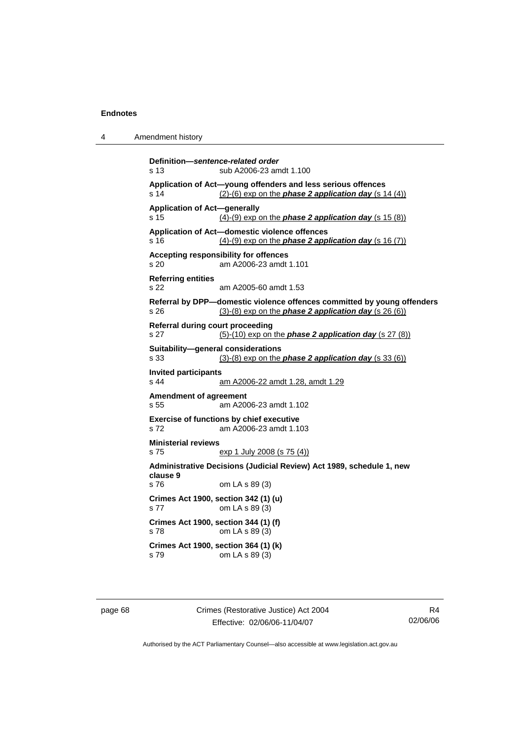| Amendment history<br>4 |  |
|------------------------|--|
|------------------------|--|

```
Definition—sentence-related order 
s 13 sub A2006-23 amdt 1.100 
Application of Act—young offenders and less serious offences 
s 14 (2)-(6) exp on the phase 2 application day (s 14 (4))
Application of Act—generally 
s 15 (4)-(9) exp on the phase 2 application day (s 15 (8))
Application of Act—domestic violence offences 
s 16 (4)-(9) exp on the phase 2 application day (s 16 (7))
Accepting responsibility for offences 
s 20 am A2006-23 amdt 1.101 
Referring entities 
s 22 am A2005-60 amdt 1.53 
Referral by DPP—domestic violence offences committed by young offenders 
s 26 (3)-(8) exp on the phase 2 application day (s 26 (6))
Referral during court proceeding 
s 27 (5)-(10) exp on the phase 2 application day (s 27 (8))
Suitability—general considerations 
s 33 (3)-(8) exp on the phase 2 application day (s 33 (6))
Invited participants 
s 44 am A2006-22 amdt 1.28, amdt 1.29
Amendment of agreement 
s 55 am A2006-23 amdt 1.102 
Exercise of functions by chief executive 
s 72 am A2006-23 amdt 1.103 
Ministerial reviews 
s 75 exp 1 July 2008 (s 75 (4))
Administrative Decisions (Judicial Review) Act 1989, schedule 1, new 
clause 9 
s 76 om LA s 89 (3) 
Crimes Act 1900, section 342 (1) (u) 
s 77 om LA s 89 (3) 
Crimes Act 1900, section 344 (1) (f) 
s 78 om LA s 89 (3) 
Crimes Act 1900, section 364 (1) (k) 
s 79 om LA s 89 (3)
```
page 68 Crimes (Restorative Justice) Act 2004 Effective: 02/06/06-11/04/07

R4 02/06/06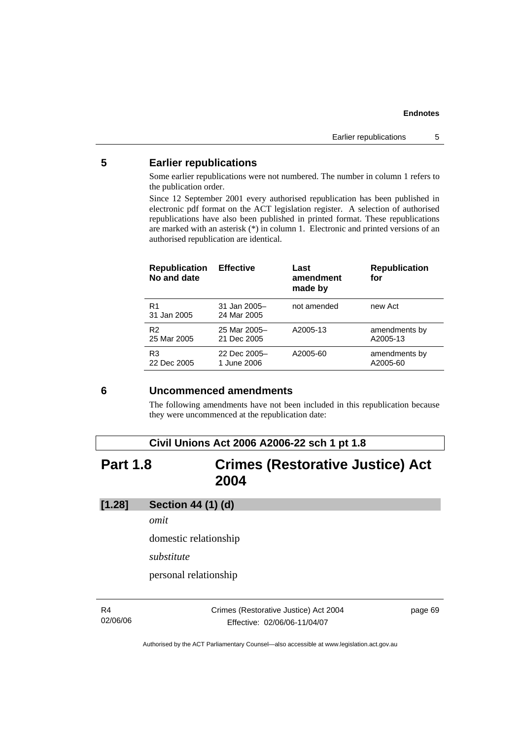## **5 Earlier republications**

Some earlier republications were not numbered. The number in column 1 refers to the publication order.

Since 12 September 2001 every authorised republication has been published in electronic pdf format on the ACT legislation register. A selection of authorised republications have also been published in printed format. These republications are marked with an asterisk (\*) in column 1. Electronic and printed versions of an authorised republication are identical.

| <b>Republication</b><br>No and date | <b>Effective</b>            | Last<br>amendment<br>made by | <b>Republication</b><br>for |
|-------------------------------------|-----------------------------|------------------------------|-----------------------------|
| R1<br>31 Jan 2005                   | 31 Jan 2005-<br>24 Mar 2005 | not amended                  | new Act                     |
| R <sub>2</sub>                      | 25 Mar 2005-                | A2005-13                     | amendments by               |
| 25 Mar 2005                         | 21 Dec 2005                 |                              | A2005-13                    |
| R3                                  | 22 Dec 2005-                | A2005-60                     | amendments by               |
| 22 Dec 2005                         | 1 June 2006                 |                              | A2005-60                    |

## **6 Uncommenced amendments**

The following amendments have not been included in this republication because they were uncommenced at the republication date:

## **Civil Unions Act 2006 A2006-22 sch 1 pt 1.8**

# **Part 1.8 Crimes (Restorative Justice) Act 2004**

## **[1.28] Section 44 (1) (d)**

*omit* 

domestic relationship

*substitute* 

personal relationship

R4 02/06/06 Crimes (Restorative Justice) Act 2004 Effective: 02/06/06-11/04/07

page 69